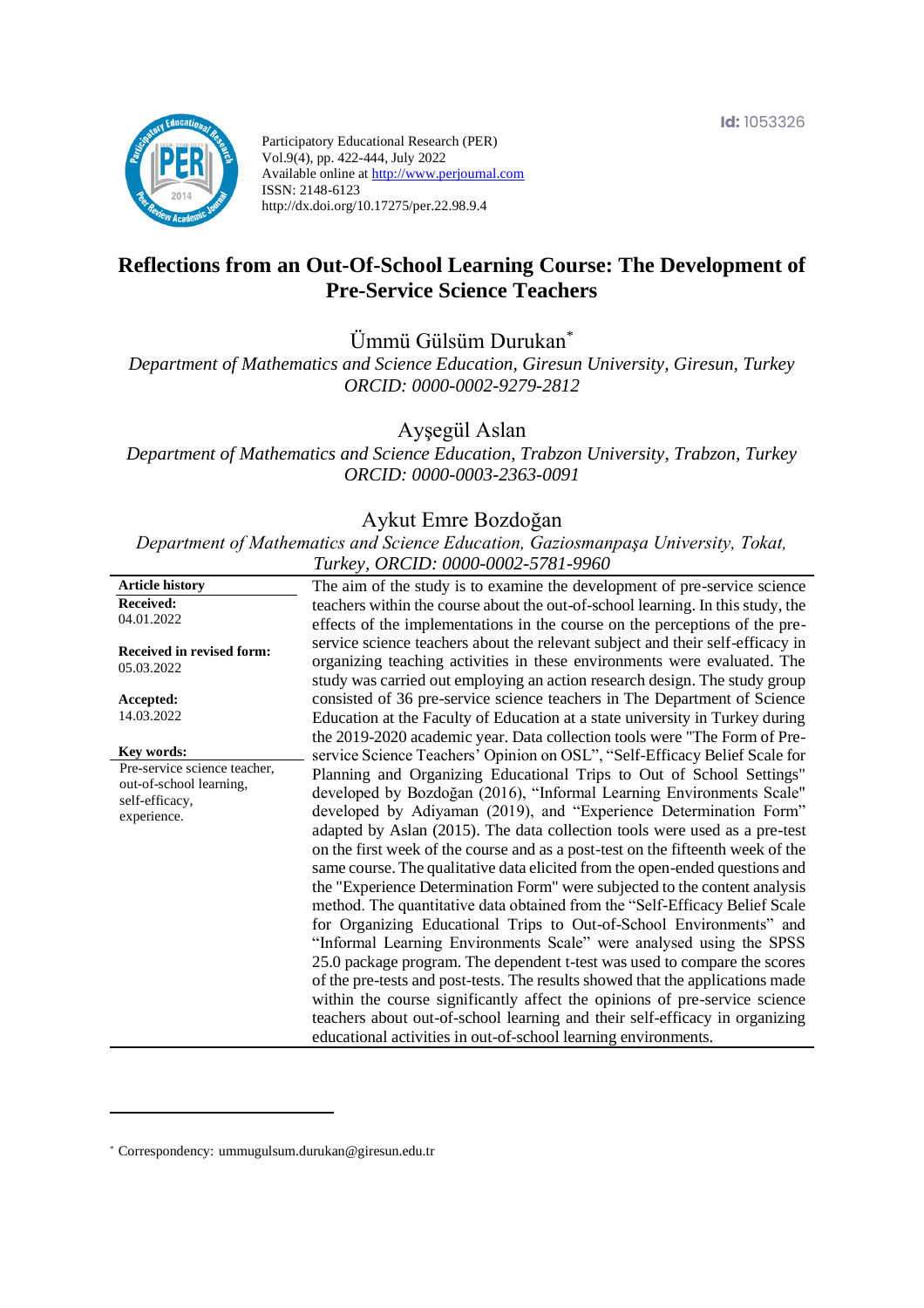

Participatory Educational Research (PER) Vol.9(4), pp. 422-444, July 2022 Available online at http://www.perjournal.com ISSN: 2148-6123 http://dx.doi.org/10.17275/per.22.98.9.4

# **Reflections from an Out-Of-School Learning Course: The Development of Pre-Service Science Teachers**

Ümmü Gülsüm Durukan\*

*Department of Mathematics and Science Education, Giresun University, Giresun, Turkey ORCID: 0000-0002-9279-2812*

Ayşegül Aslan

*Department of Mathematics and Science Education, Trabzon University, Trabzon, Turkey ORCID: 0000-0003-2363-0091*

#### Aykut Emre Bozdoğan

*Department of Mathematics and Science Education, Gaziosmanpaşa University, Tokat, Turkey, ORCID: 0000-0002-5781-9960*

|                                                | $I$ which, once you you you you                                                                                                                                                                                                          |
|------------------------------------------------|------------------------------------------------------------------------------------------------------------------------------------------------------------------------------------------------------------------------------------------|
| <b>Article history</b>                         | The aim of the study is to examine the development of pre-service science                                                                                                                                                                |
| <b>Received:</b>                               | teachers within the course about the out-of-school learning. In this study, the                                                                                                                                                          |
| 04.01.2022                                     | effects of the implementations in the course on the perceptions of the pre-                                                                                                                                                              |
| <b>Received in revised form:</b><br>05.03.2022 | service science teachers about the relevant subject and their self-efficacy in<br>organizing teaching activities in these environments were evaluated. The<br>study was carried out employing an action research design. The study group |
| Accepted:                                      | consisted of 36 pre-service science teachers in The Department of Science                                                                                                                                                                |
| 14.03.2022                                     | Education at the Faculty of Education at a state university in Turkey during<br>the 2019-2020 academic year. Data collection tools were "The Form of Pre-                                                                                |
| Key words:                                     | service Science Teachers' Opinion on OSL", "Self-Efficacy Belief Scale for                                                                                                                                                               |
| Pre-service science teacher,                   | Planning and Organizing Educational Trips to Out of School Settings"                                                                                                                                                                     |
| out-of-school learning,                        |                                                                                                                                                                                                                                          |
| self-efficacy,                                 | developed by Bozdoğan (2016), "Informal Learning Environments Scale"                                                                                                                                                                     |
| experience.                                    | developed by Adiyaman (2019), and "Experience Determination Form"                                                                                                                                                                        |
|                                                | adapted by Aslan (2015). The data collection tools were used as a pre-test                                                                                                                                                               |
|                                                | on the first week of the course and as a post-test on the fifteenth week of the                                                                                                                                                          |
|                                                | same course. The qualitative data elicited from the open-ended questions and                                                                                                                                                             |
|                                                | the "Experience Determination Form" were subjected to the content analysis                                                                                                                                                               |
|                                                | method. The quantitative data obtained from the "Self-Efficacy Belief Scale                                                                                                                                                              |
|                                                | for Organizing Educational Trips to Out-of-School Environments" and                                                                                                                                                                      |
|                                                | "Informal Learning Environments Scale" were analysed using the SPSS                                                                                                                                                                      |
|                                                | 25.0 package program. The dependent t-test was used to compare the scores                                                                                                                                                                |
|                                                | of the pre-tests and post-tests. The results showed that the applications made                                                                                                                                                           |
|                                                | within the course significantly affect the opinions of pre-service science                                                                                                                                                               |
|                                                | teachers about out-of-school learning and their self-efficacy in organizing                                                                                                                                                              |
|                                                | educational activities in out-of-school learning environments.                                                                                                                                                                           |
|                                                |                                                                                                                                                                                                                                          |

<sup>\*</sup> [Correspondency:](mailto:Correspondency:) ummugulsum.durukan@giresun.edu.tr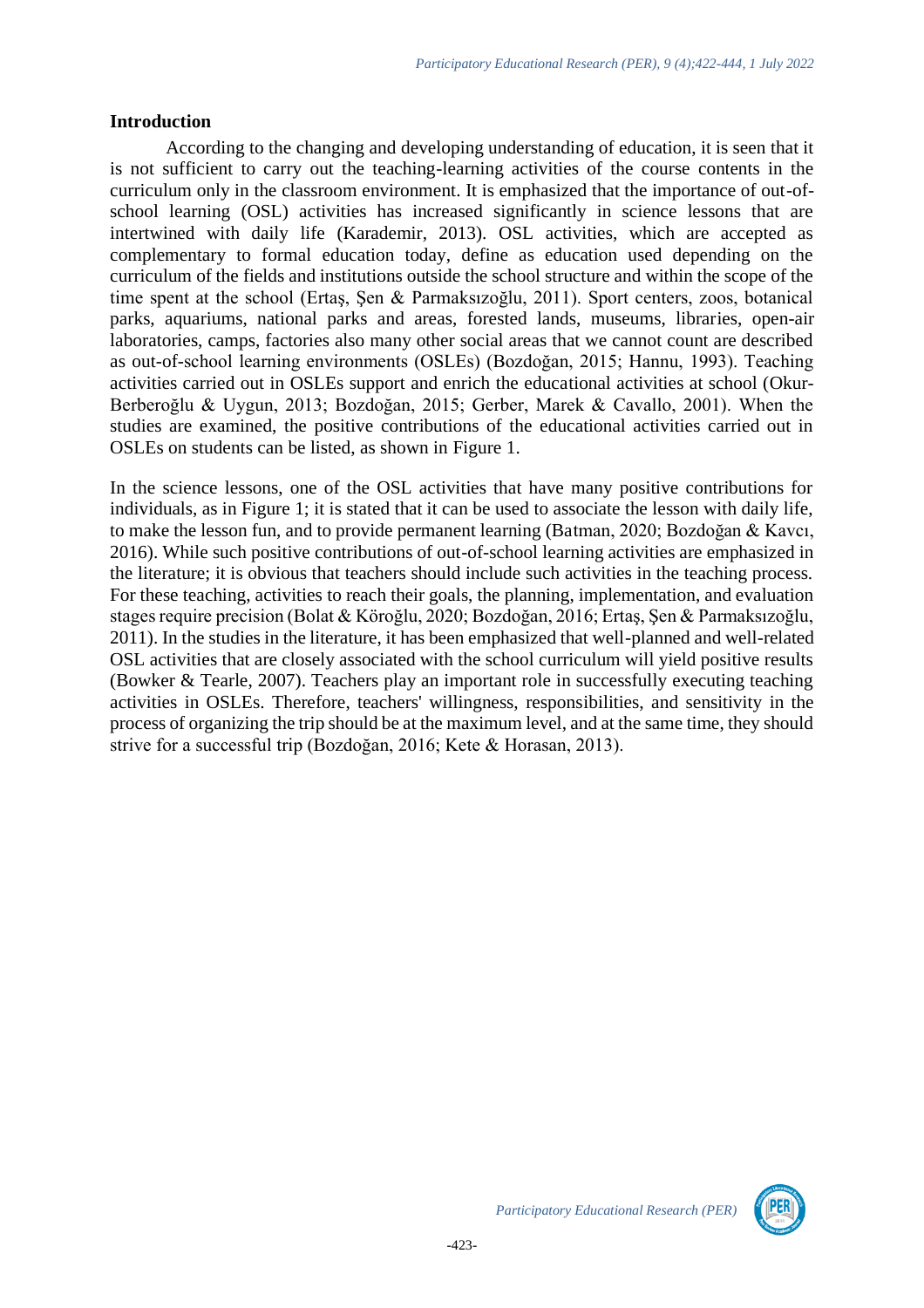#### **Introduction**

According to the changing and developing understanding of education, it is seen that it is not sufficient to carry out the teaching-learning activities of the course contents in the curriculum only in the classroom environment. It is emphasized that the importance of out-ofschool learning (OSL) activities has increased significantly in science lessons that are intertwined with daily life (Karademir, 2013). OSL activities, which are accepted as complementary to formal education today, define as education used depending on the curriculum of the fields and institutions outside the school structure and within the scope of the time spent at the school (Ertaş, Şen & Parmaksızoğlu, 2011). Sport centers, zoos, botanical parks, aquariums, national parks and areas, forested lands, museums, libraries, open-air laboratories, camps, factories also many other social areas that we cannot count are described as out-of-school learning environments (OSLEs) (Bozdoğan, 2015; Hannu, 1993). Teaching activities carried out in OSLEs support and enrich the educational activities at school (Okur-Berberoğlu & Uygun, 2013; Bozdoğan, 2015; Gerber, Marek & Cavallo, 2001). When the studies are examined, the positive contributions of the educational activities carried out in OSLEs on students can be listed, as shown in Figure 1.

In the science lessons, one of the OSL activities that have many positive contributions for individuals, as in Figure 1; it is stated that it can be used to associate the lesson with daily life, to make the lesson fun, and to provide permanent learning (Batman, 2020; Bozdoğan & Kavcı, 2016). While such positive contributions of out-of-school learning activities are emphasized in the literature; it is obvious that teachers should include such activities in the teaching process. For these teaching, activities to reach their goals, the planning, implementation, and evaluation stages require precision (Bolat & Köroğlu, 2020; Bozdoğan, 2016; Ertaş, Şen & Parmaksızoğlu, 2011). In the studies in the literature, it has been emphasized that well-planned and well-related OSL activities that are closely associated with the school curriculum will yield positive results (Bowker & Tearle, 2007). Teachers play an important role in successfully executing teaching activities in OSLEs. Therefore, teachers' willingness, responsibilities, and sensitivity in the process of organizing the trip should be at the maximum level, and at the same time, they should strive for a successful trip (Bozdoğan, 2016; Kete & Horasan, 2013).

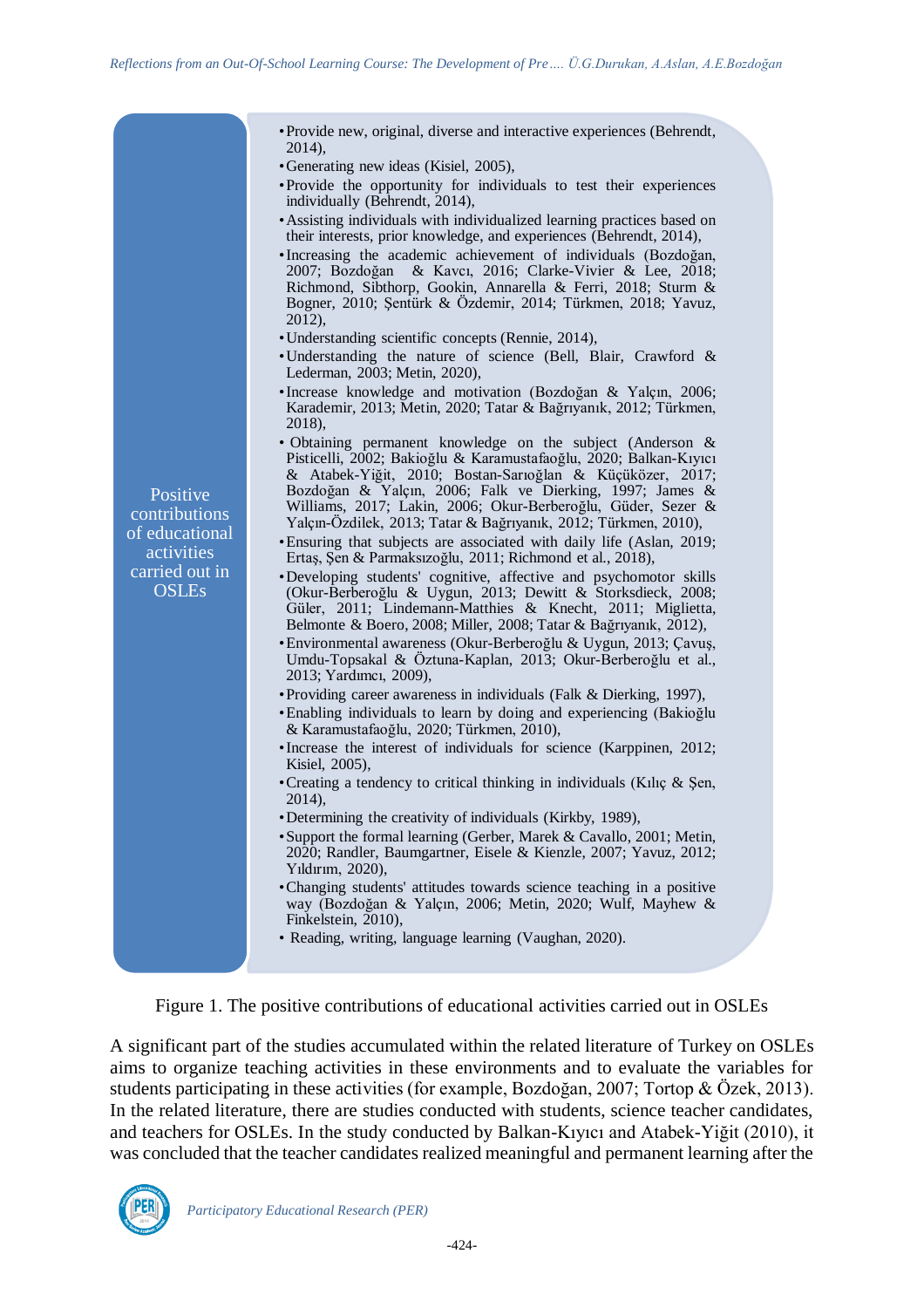| • Provide new, original, diverse and interactive experiences (Behrendt,<br>2014),                                                                                                                                                                                                                                                                                                                                                                                       |                                                                                                                                                                                                                                                                                                                                                                                                                                                                                           |
|-------------------------------------------------------------------------------------------------------------------------------------------------------------------------------------------------------------------------------------------------------------------------------------------------------------------------------------------------------------------------------------------------------------------------------------------------------------------------|-------------------------------------------------------------------------------------------------------------------------------------------------------------------------------------------------------------------------------------------------------------------------------------------------------------------------------------------------------------------------------------------------------------------------------------------------------------------------------------------|
|                                                                                                                                                                                                                                                                                                                                                                                                                                                                         |                                                                                                                                                                                                                                                                                                                                                                                                                                                                                           |
| • Provide the opportunity for individuals to test their experiences<br>individually (Behrendt, 2014),                                                                                                                                                                                                                                                                                                                                                                   |                                                                                                                                                                                                                                                                                                                                                                                                                                                                                           |
| • Assisting individuals with individualized learning practices based on<br>their interests, prior knowledge, and experiences (Behrendt, 2014),                                                                                                                                                                                                                                                                                                                          |                                                                                                                                                                                                                                                                                                                                                                                                                                                                                           |
| • Increasing the academic achievement of individuals (Bozdoğan,<br>2007; Bozdoğan & Kavcı, 2016; Clarke-Vivier & Lee, 2018;<br>Richmond, Sibthorp, Gookin, Annarella & Ferri, 2018; Sturm &<br>Bogner, 2010; Şentürk & Özdemir, 2014; Türkmen, 2018; Yavuz,                                                                                                                                                                                                             |                                                                                                                                                                                                                                                                                                                                                                                                                                                                                           |
|                                                                                                                                                                                                                                                                                                                                                                                                                                                                         |                                                                                                                                                                                                                                                                                                                                                                                                                                                                                           |
| • Understanding the nature of science (Bell, Blair, Crawford &                                                                                                                                                                                                                                                                                                                                                                                                          |                                                                                                                                                                                                                                                                                                                                                                                                                                                                                           |
| · Increase knowledge and motivation (Bozdoğan & Yalçın, 2006;<br>Karademir, 2013; Metin, 2020; Tatar & Bağrıyanık, 2012; Türkmen,<br>2018),                                                                                                                                                                                                                                                                                                                             |                                                                                                                                                                                                                                                                                                                                                                                                                                                                                           |
| • Obtaining permanent knowledge on the subject (Anderson $\&$<br>Pisticelli, 2002; Bakioğlu & Karamustafaoğlu, 2020; Balkan-Kıyıcı<br>& Atabek-Yiğit, 2010; Bostan-Sarıoğlan & Küçüközer, 2017;<br>Bozdoğan & Yalçın, 2006; Falk ve Dierking, 1997; James &<br>Williams, 2017; Lakin, 2006; Okur-Berberoğlu, Güder, Sezer &<br>Yalçın-Özdilek, 2013; Tatar & Bağrıyanık, 2012; Türkmen, 2010),<br>• Ensuring that subjects are associated with daily life (Aslan, 2019; |                                                                                                                                                                                                                                                                                                                                                                                                                                                                                           |
| •Developing students' cognitive, affective and psychomotor skills<br>(Okur-Berberoğlu & Uygun, 2013; Dewitt & Storksdieck, 2008;<br>Güler, 2011; Lindemann-Matthies & Knecht, 2011; Miglietta,<br>Belmonte & Boero, 2008; Miller, 2008; Tatar & Bağrıyanık, 2012),<br>· Environmental awareness (Okur-Berberoğlu & Uygun, 2013; Çavuş,<br>Umdu-Topsakal & Öztuna-Kaplan, 2013; Okur-Berberoğlu et al.,                                                                  |                                                                                                                                                                                                                                                                                                                                                                                                                                                                                           |
|                                                                                                                                                                                                                                                                                                                                                                                                                                                                         |                                                                                                                                                                                                                                                                                                                                                                                                                                                                                           |
| • Enabling individuals to learn by doing and experiencing (Bakioğlu                                                                                                                                                                                                                                                                                                                                                                                                     |                                                                                                                                                                                                                                                                                                                                                                                                                                                                                           |
| • Increase the interest of individuals for science (Karppinen, 2012;                                                                                                                                                                                                                                                                                                                                                                                                    |                                                                                                                                                                                                                                                                                                                                                                                                                                                                                           |
| • Creating a tendency to critical thinking in individuals (Kilic & Şen,                                                                                                                                                                                                                                                                                                                                                                                                 |                                                                                                                                                                                                                                                                                                                                                                                                                                                                                           |
|                                                                                                                                                                                                                                                                                                                                                                                                                                                                         |                                                                                                                                                                                                                                                                                                                                                                                                                                                                                           |
| • Support the formal learning (Gerber, Marek & Cavallo, 2001; Metin,<br>2020; Randler, Baumgartner, Eisele & Kienzle, 2007; Yavuz, 2012;                                                                                                                                                                                                                                                                                                                                |                                                                                                                                                                                                                                                                                                                                                                                                                                                                                           |
| •Changing students' attitudes towards science teaching in a positive<br>way (Bozdoğan & Yalçın, 2006; Metin, 2020; Wulf, Mayhew &                                                                                                                                                                                                                                                                                                                                       |                                                                                                                                                                                                                                                                                                                                                                                                                                                                                           |
| • Reading, writing, language learning (Vaughan, 2020).                                                                                                                                                                                                                                                                                                                                                                                                                  |                                                                                                                                                                                                                                                                                                                                                                                                                                                                                           |
|                                                                                                                                                                                                                                                                                                                                                                                                                                                                         | • Generating new ideas (Kisiel, 2005),<br>2012),<br>• Understanding scientific concepts (Rennie, 2014),<br>Lederman, 2003; Metin, 2020),<br>Ertaş, Şen & Parmaksızoğlu, 2011; Richmond et al., 2018),<br>2013; Yardımcı, 2009),<br>• Providing career awareness in individuals (Falk & Dierking, 1997),<br>& Karamustafaoğlu, 2020; Türkmen, 2010),<br>Kisiel, 2005),<br>2014),<br>• Determining the creativity of individuals (Kirkby, 1989),<br>Yıldırım, 2020),<br>Finkelstein, 2010), |

Figure 1. The positive contributions of educational activities carried out in OSLEs

A significant part of the studies accumulated within the related literature of Turkey on OSLEs aims to organize teaching activities in these environments and to evaluate the variables for students participating in these activities (for example, Bozdoğan, 2007; Tortop & Özek, 2013). In the related literature, there are studies conducted with students, science teacher candidates, and teachers for OSLEs. In the study conducted by Balkan-Kıyıcı and Atabek-Yiğit (2010), it was concluded that the teacher candidates realized meaningful and permanent learning after the

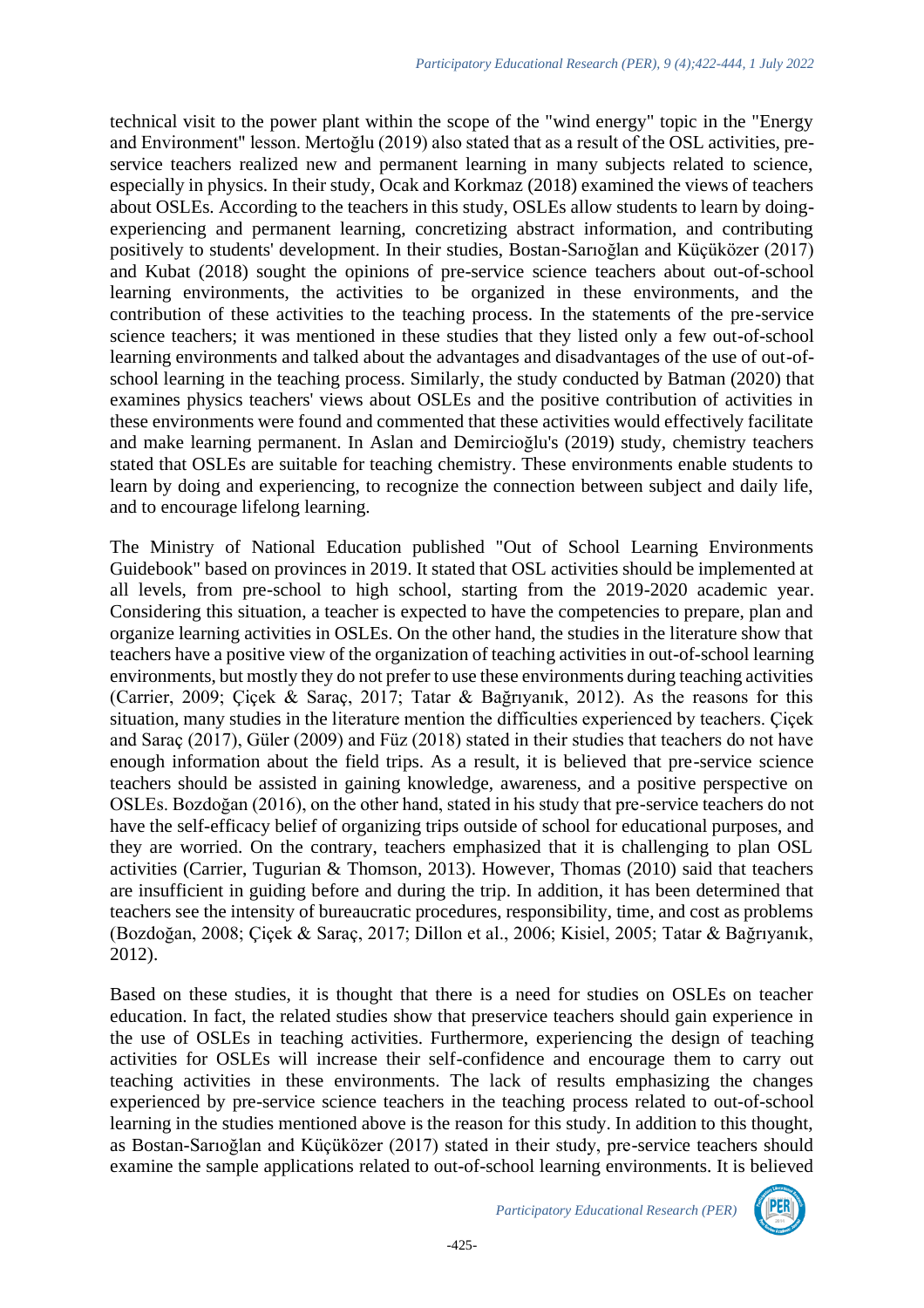technical visit to the power plant within the scope of the "wind energy" topic in the "Energy and Environment" lesson. Mertoğlu (2019) also stated that as a result of the OSL activities, preservice teachers realized new and permanent learning in many subjects related to science, especially in physics. In their study, Ocak and Korkmaz (2018) examined the views of teachers about OSLEs. According to the teachers in this study, OSLEs allow students to learn by doingexperiencing and permanent learning, concretizing abstract information, and contributing positively to students' development. In their studies, Bostan-Sarıoğlan and Küçüközer (2017) and Kubat (2018) sought the opinions of pre-service science teachers about out-of-school learning environments, the activities to be organized in these environments, and the contribution of these activities to the teaching process. In the statements of the pre-service science teachers; it was mentioned in these studies that they listed only a few out-of-school learning environments and talked about the advantages and disadvantages of the use of out-ofschool learning in the teaching process. Similarly, the study conducted by Batman (2020) that examines physics teachers' views about OSLEs and the positive contribution of activities in these environments were found and commented that these activities would effectively facilitate and make learning permanent. In Aslan and Demircioğlu's (2019) study, chemistry teachers stated that OSLEs are suitable for teaching chemistry. These environments enable students to learn by doing and experiencing, to recognize the connection between subject and daily life, and to encourage lifelong learning.

The Ministry of National Education published "Out of School Learning Environments Guidebook" based on provinces in 2019. It stated that OSL activities should be implemented at all levels, from pre-school to high school, starting from the 2019-2020 academic year. Considering this situation, a teacher is expected to have the competencies to prepare, plan and organize learning activities in OSLEs. On the other hand, the studies in the literature show that teachers have a positive view of the organization of teaching activities in out-of-school learning environments, but mostly they do not prefer to use these environments during teaching activities (Carrier, 2009; Çiçek & Saraç, 2017; Tatar & Bağrıyanık, 2012). As the reasons for this situation, many studies in the literature mention the difficulties experienced by teachers. Çiçek and Saraç (2017), Güler (2009) and Füz (2018) stated in their studies that teachers do not have enough information about the field trips. As a result, it is believed that pre-service science teachers should be assisted in gaining knowledge, awareness, and a positive perspective on OSLEs. Bozdoğan (2016), on the other hand, stated in his study that pre-service teachers do not have the self-efficacy belief of organizing trips outside of school for educational purposes, and they are worried. On the contrary, teachers emphasized that it is challenging to plan OSL activities (Carrier, Tugurian & Thomson, 2013). However, Thomas (2010) said that teachers are insufficient in guiding before and during the trip. In addition, it has been determined that teachers see the intensity of bureaucratic procedures, responsibility, time, and cost as problems (Bozdoğan, 2008; Çiçek & Saraç, 2017; Dillon et al., 2006; Kisiel, 2005; Tatar & Bağrıyanık, 2012).

Based on these studies, it is thought that there is a need for studies on OSLEs on teacher education. In fact, the related studies show that preservice teachers should gain experience in the use of OSLEs in teaching activities. Furthermore, experiencing the design of teaching activities for OSLEs will increase their self-confidence and encourage them to carry out teaching activities in these environments. The lack of results emphasizing the changes experienced by pre-service science teachers in the teaching process related to out-of-school learning in the studies mentioned above is the reason for this study. In addition to this thought, as Bostan-Sarıoğlan and Küçüközer (2017) stated in their study, pre-service teachers should examine the sample applications related to out-of-school learning environments. It is believed

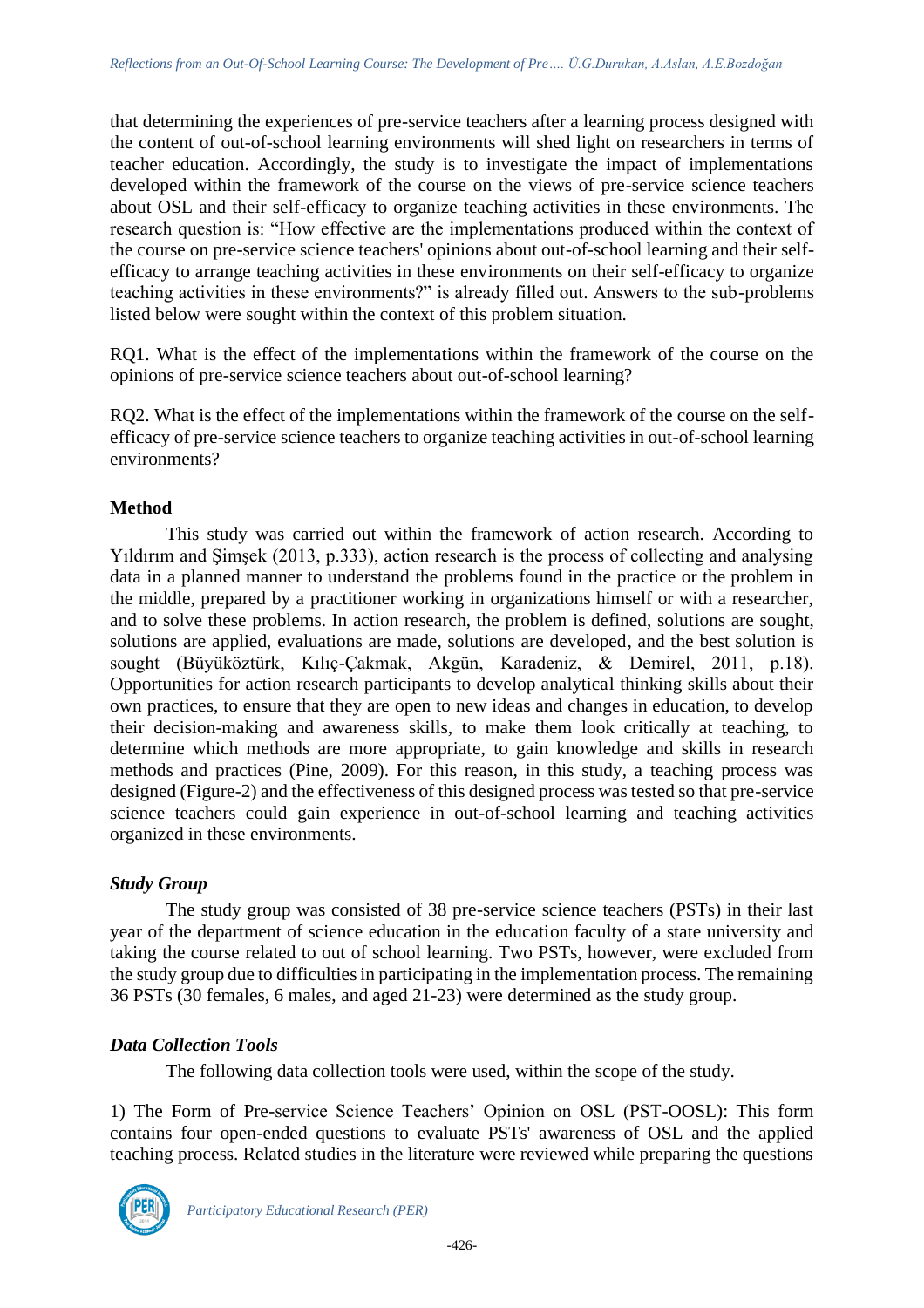that determining the experiences of pre-service teachers after a learning process designed with the content of out-of-school learning environments will shed light on researchers in terms of teacher education. Accordingly, the study is to investigate the impact of implementations developed within the framework of the course on the views of pre-service science teachers about OSL and their self-efficacy to organize teaching activities in these environments. The research question is: "How effective are the implementations produced within the context of the course on pre-service science teachers' opinions about out-of-school learning and their selfefficacy to arrange teaching activities in these environments on their self-efficacy to organize teaching activities in these environments?" is already filled out. Answers to the sub-problems listed below were sought within the context of this problem situation.

RQ1. What is the effect of the implementations within the framework of the course on the opinions of pre-service science teachers about out-of-school learning?

RQ2. What is the effect of the implementations within the framework of the course on the selfefficacy of pre-service science teachers to organize teaching activities in out-of-school learning environments?

# **Method**

This study was carried out within the framework of action research. According to Yıldırım and Şimşek (2013, p.333), action research is the process of collecting and analysing data in a planned manner to understand the problems found in the practice or the problem in the middle, prepared by a practitioner working in organizations himself or with a researcher, and to solve these problems. In action research, the problem is defined, solutions are sought, solutions are applied, evaluations are made, solutions are developed, and the best solution is sought (Büyüköztürk, Kılıç-Çakmak, Akgün, Karadeniz, & Demirel, 2011, p.18). Opportunities for action research participants to develop analytical thinking skills about their own practices, to ensure that they are open to new ideas and changes in education, to develop their decision-making and awareness skills, to make them look critically at teaching, to determine which methods are more appropriate, to gain knowledge and skills in research methods and practices (Pine, 2009). For this reason, in this study, a teaching process was designed (Figure-2) and the effectiveness of this designed process was tested so that pre-service science teachers could gain experience in out-of-school learning and teaching activities organized in these environments.

# *Study Group*

The study group was consisted of 38 pre-service science teachers (PSTs) in their last year of the department of science education in the education faculty of a state university and taking the course related to out of school learning. Two PSTs, however, were excluded from the study group due to difficulties in participating in the implementation process. The remaining 36 PSTs (30 females, 6 males, and aged 21-23) were determined as the study group.

# *Data Collection Tools*

The following data collection tools were used, within the scope of the study.

1) The Form of Pre-service Science Teachers' Opinion on OSL (PST-OOSL): This form contains four open-ended questions to evaluate PSTs' awareness of OSL and the applied teaching process. Related studies in the literature were reviewed while preparing the questions

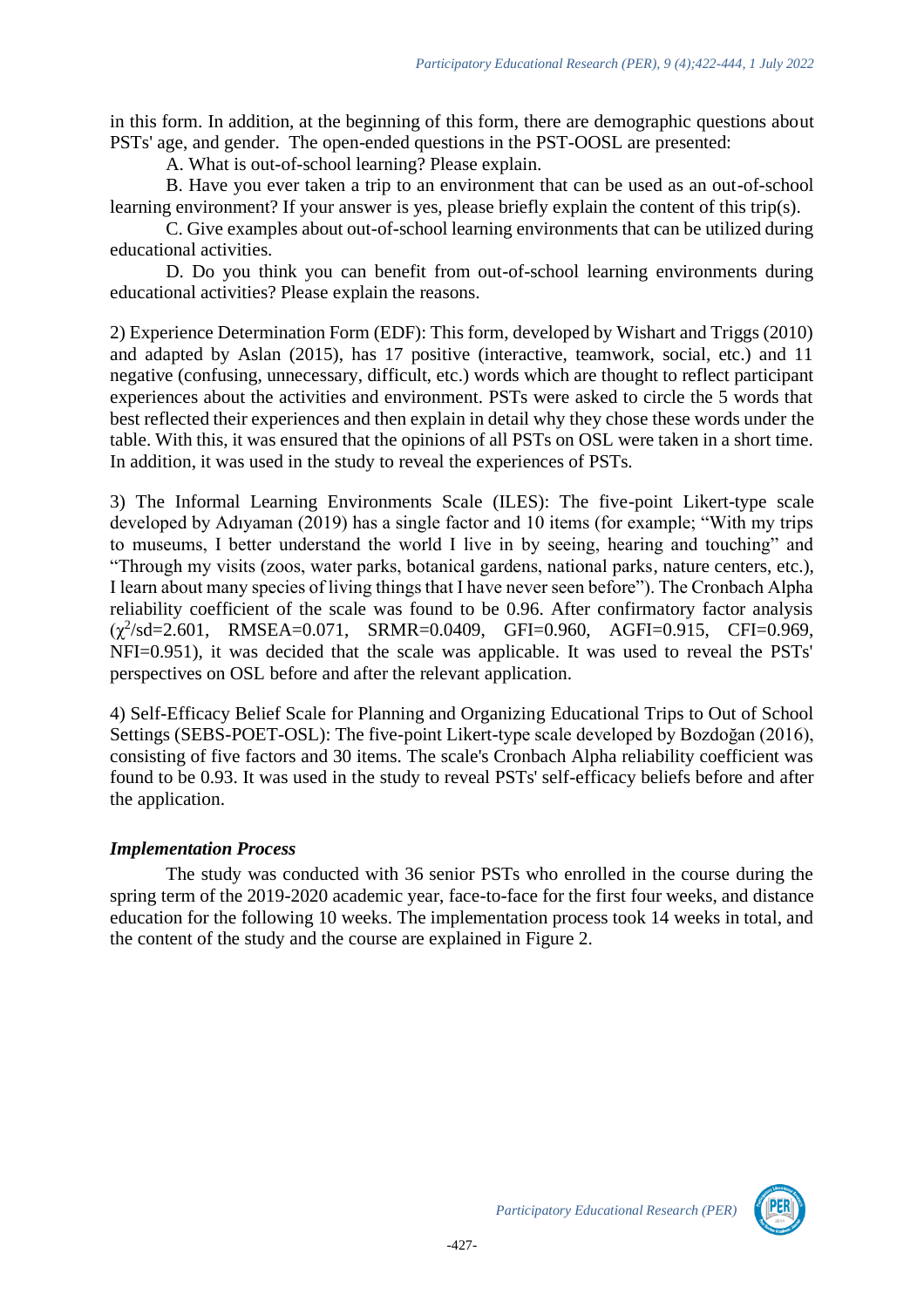in this form. In addition, at the beginning of this form, there are demographic questions about PSTs' age, and gender. The open-ended questions in the PST-OOSL are presented:

A. What is out-of-school learning? Please explain.

B. Have you ever taken a trip to an environment that can be used as an out-of-school learning environment? If your answer is yes, please briefly explain the content of this trip(s).

C. Give examples about out-of-school learning environments that can be utilized during educational activities.

D. Do you think you can benefit from out-of-school learning environments during educational activities? Please explain the reasons.

2) Experience Determination Form (EDF): This form, developed by Wishart and Triggs (2010) and adapted by Aslan (2015), has 17 positive (interactive, teamwork, social, etc.) and 11 negative (confusing, unnecessary, difficult, etc.) words which are thought to reflect participant experiences about the activities and environment. PSTs were asked to circle the 5 words that best reflected their experiences and then explain in detail why they chose these words under the table. With this, it was ensured that the opinions of all PSTs on OSL were taken in a short time. In addition, it was used in the study to reveal the experiences of PSTs.

3) The Informal Learning Environments Scale (ILES): The five-point Likert-type scale developed by Adıyaman (2019) has a single factor and 10 items (for example; "With my trips to museums, I better understand the world I live in by seeing, hearing and touching" and "Through my visits (zoos, water parks, botanical gardens, national parks, nature centers, etc.), I learn about many species of living things that I have never seen before"). The Cronbach Alpha reliability coefficient of the scale was found to be 0.96. After confirmatory factor analysis  $(\chi^2/\text{sd}=2.601, \quad \text{RMSEA}=0.071, \quad \text{SRMR}=0.0409, \quad \text{GFI}=0.960, \quad \text{AGFI}=0.915, \quad \text{CFI}=0.969,$ NFI=0.951), it was decided that the scale was applicable. It was used to reveal the PSTs' perspectives on OSL before and after the relevant application.

4) Self-Efficacy Belief Scale for Planning and Organizing Educational Trips to Out of School Settings (SEBS-POET-OSL): The five-point Likert-type scale developed by Bozdoğan (2016), consisting of five factors and 30 items. The scale's Cronbach Alpha reliability coefficient was found to be 0.93. It was used in the study to reveal PSTs' self-efficacy beliefs before and after the application.

# *Implementation Process*

The study was conducted with 36 senior PSTs who enrolled in the course during the spring term of the 2019-2020 academic year, face-to-face for the first four weeks, and distance education for the following 10 weeks. The implementation process took 14 weeks in total, and the content of the study and the course are explained in Figure 2.

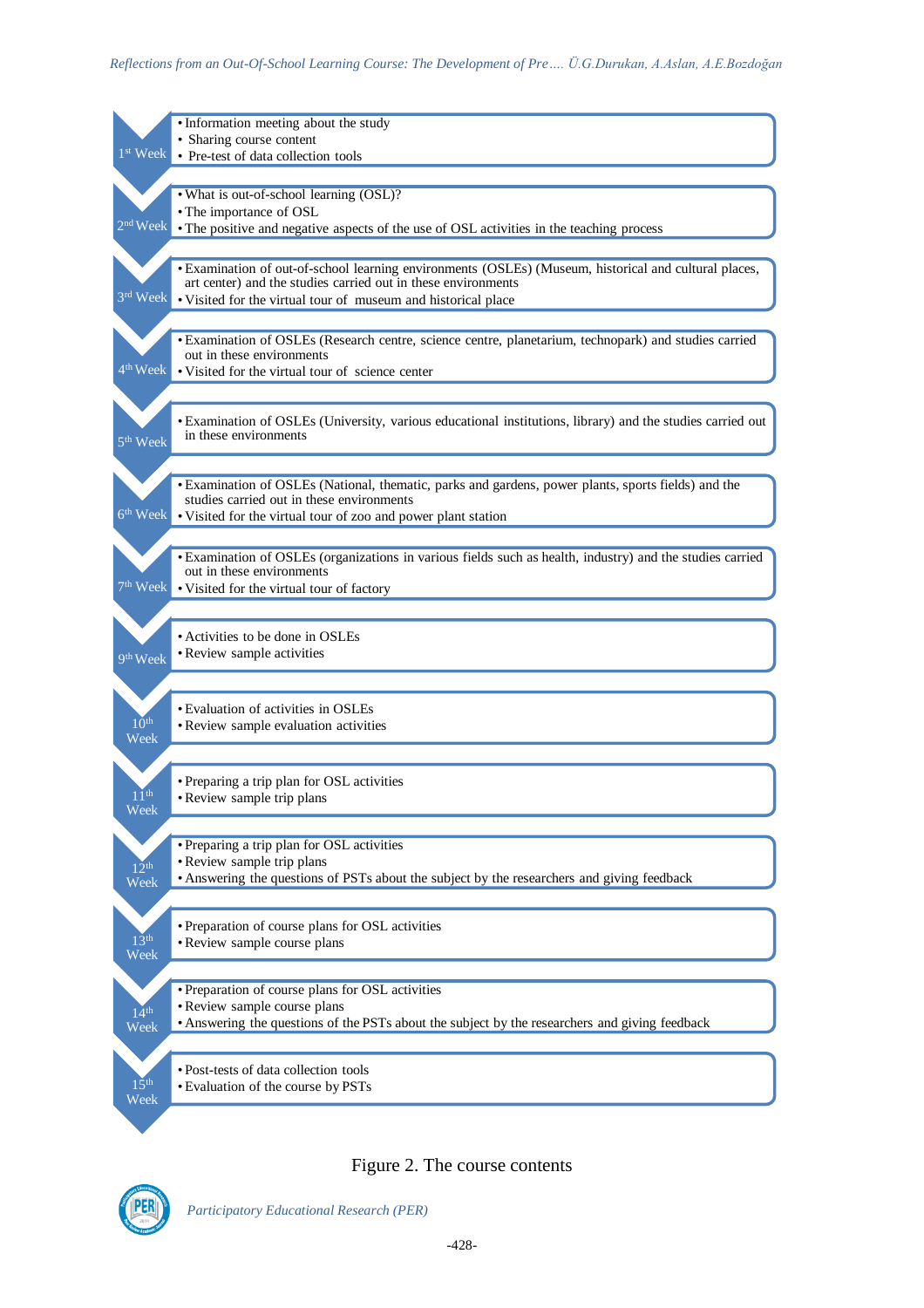|                      | · Information meeting about the study                                                                      |
|----------------------|------------------------------------------------------------------------------------------------------------|
|                      | · Sharing course content                                                                                   |
| 1 <sup>st</sup> Week | • Pre-test of data collection tools                                                                        |
|                      |                                                                                                            |
|                      | . What is out-of-school learning (OSL)?                                                                    |
|                      |                                                                                                            |
| $2nd$ Week           | • The importance of OSL                                                                                    |
|                      | • The positive and negative aspects of the use of OSL activities in the teaching process                   |
|                      |                                                                                                            |
|                      | • Examination of out-of-school learning environments (OSLEs) (Museum, historical and cultural places,      |
|                      | art center) and the studies carried out in these environments                                              |
| 3rd Week             | • Visited for the virtual tour of museum and historical place                                              |
|                      |                                                                                                            |
|                      |                                                                                                            |
|                      | • Examination of OSLEs (Research centre, science centre, planetarium, technopark) and studies carried      |
|                      | out in these environments                                                                                  |
| 4 <sup>th</sup> Week | • Visited for the virtual tour of science center                                                           |
|                      |                                                                                                            |
|                      |                                                                                                            |
|                      | • Examination of OSLEs (University, various educational institutions, library) and the studies carried out |
| 5 <sup>th</sup> Week | in these environments                                                                                      |
|                      |                                                                                                            |
|                      |                                                                                                            |
|                      | • Examination of OSLEs (National, thematic, parks and gardens, power plants, sports fields) and the        |
|                      | studies carried out in these environments                                                                  |
| $6th$ Week           | • Visited for the virtual tour of zoo and power plant station                                              |
|                      |                                                                                                            |
|                      | • Examination of OSLEs (organizations in various fields such as health, industry) and the studies carried  |
|                      | out in these environments                                                                                  |
| $7th$ Week           | • Visited for the virtual tour of factory                                                                  |
|                      |                                                                                                            |
|                      |                                                                                                            |
|                      |                                                                                                            |
|                      |                                                                                                            |
|                      | • Activities to be done in OSLEs                                                                           |
| 9 <sup>th</sup> Week | • Review sample activities                                                                                 |
|                      |                                                                                                            |
|                      |                                                                                                            |
|                      | • Evaluation of activities in OSLEs                                                                        |
| 10 <sup>th</sup>     | • Review sample evaluation activities                                                                      |
| Week                 |                                                                                                            |
|                      |                                                                                                            |
|                      |                                                                                                            |
|                      | • Preparing a trip plan for OSL activities                                                                 |
| $1\,$ 1 th           | • Review sample trip plans                                                                                 |
| Week                 |                                                                                                            |
|                      |                                                                                                            |
|                      | • Preparing a trip plan for OSL activities                                                                 |
| $12^{th}$            | • Review sample trip plans                                                                                 |
| Week                 | • Answering the questions of PSTs about the subject by the researchers and giving feedback                 |
|                      |                                                                                                            |
|                      |                                                                                                            |
|                      | • Preparation of course plans for OSL activities                                                           |
| 13 <sup>th</sup>     | • Review sample course plans                                                                               |
| Week                 |                                                                                                            |
|                      |                                                                                                            |
|                      | • Preparation of course plans for OSL activities                                                           |
|                      | • Review sample course plans                                                                               |
| 14 <sup>th</sup>     | • Answering the questions of the PSTs about the subject by the researchers and giving feedback             |
| Week                 |                                                                                                            |
|                      |                                                                                                            |
|                      | • Post-tests of data collection tools                                                                      |
| 15 <sup>th</sup>     | • Evaluation of the course by PSTs                                                                         |
| Week                 |                                                                                                            |
|                      |                                                                                                            |

# Figure 2. The course contents

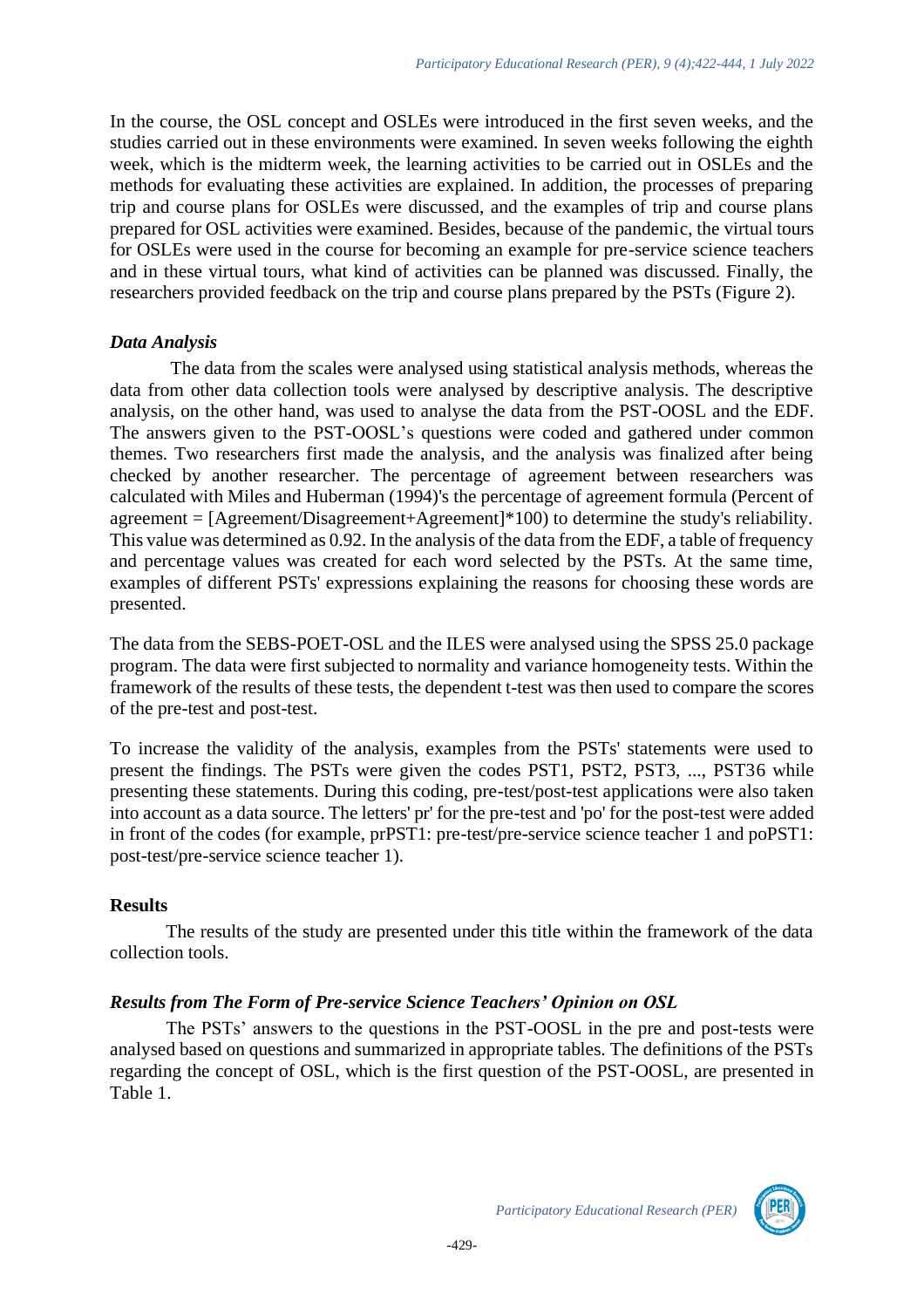In the course, the OSL concept and OSLEs were introduced in the first seven weeks, and the studies carried out in these environments were examined. In seven weeks following the eighth week, which is the midterm week, the learning activities to be carried out in OSLEs and the methods for evaluating these activities are explained. In addition, the processes of preparing trip and course plans for OSLEs were discussed, and the examples of trip and course plans prepared for OSL activities were examined. Besides, because of the pandemic, the virtual tours for OSLEs were used in the course for becoming an example for pre-service science teachers and in these virtual tours, what kind of activities can be planned was discussed. Finally, the researchers provided feedback on the trip and course plans prepared by the PSTs (Figure 2).

# *Data Analysis*

The data from the scales were analysed using statistical analysis methods, whereas the data from other data collection tools were analysed by descriptive analysis. The descriptive analysis, on the other hand, was used to analyse the data from the PST-OOSL and the EDF. The answers given to the PST-OOSL's questions were coded and gathered under common themes. Two researchers first made the analysis, and the analysis was finalized after being checked by another researcher. The percentage of agreement between researchers was calculated with Miles and Huberman (1994)'s the percentage of agreement formula (Percent of agreement  $= [Agreement/Disagreement+Agreement]*100)$  to determine the study's reliability. This value was determined as 0.92. In the analysis of the data from the EDF, a table of frequency and percentage values was created for each word selected by the PSTs. At the same time, examples of different PSTs' expressions explaining the reasons for choosing these words are presented.

The data from the SEBS-POET-OSL and the ILES were analysed using the SPSS 25.0 package program. The data were first subjected to normality and variance homogeneity tests. Within the framework of the results of these tests, the dependent t-test was then used to compare the scores of the pre-test and post-test.

To increase the validity of the analysis, examples from the PSTs' statements were used to present the findings. The PSTs were given the codes PST1, PST2, PST3, ..., PST36 while presenting these statements. During this coding, pre-test/post-test applications were also taken into account as a data source. The letters' pr' for the pre-test and 'po' for the post-test were added in front of the codes (for example, prPST1: pre-test/pre-service science teacher 1 and poPST1: post-test/pre-service science teacher 1).

#### **Results**

The results of the study are presented under this title within the framework of the data collection tools.

# *Results from The Form of Pre-service Science Teachers' Opinion on OSL*

The PSTs' answers to the questions in the PST-OOSL in the pre and post-tests were analysed based on questions and summarized in appropriate tables. The definitions of the PSTs regarding the concept of OSL, which is the first question of the PST-OOSL, are presented in Table 1.

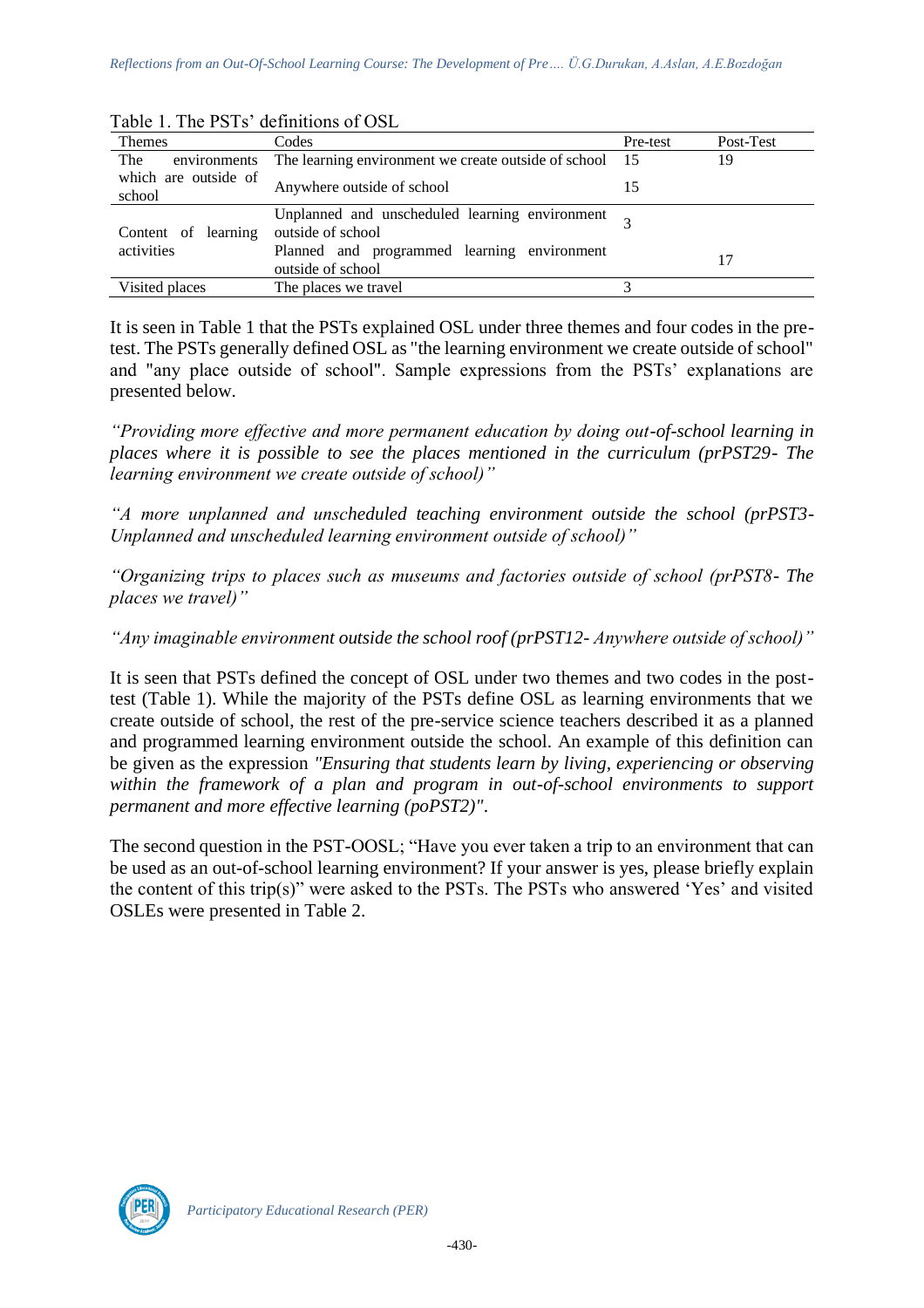| <b>Themes</b>                  | Codes                                                               | Pre-test | Post-Test |
|--------------------------------|---------------------------------------------------------------------|----------|-----------|
| The<br>environments            | The learning environment we create outside of school 15             |          | 19        |
| which are outside of<br>school | Anywhere outside of school                                          |          |           |
| Content of learning            | Unplanned and unscheduled learning environment<br>outside of school |          |           |
| activities                     | Planned and programmed learning environment<br>outside of school    |          |           |
| Visited places                 | The places we travel                                                |          |           |

Table 1. The PSTs' definitions of OSL

It is seen in Table 1 that the PSTs explained OSL under three themes and four codes in the pretest. The PSTs generally defined OSL as "the learning environment we create outside of school" and "any place outside of school". Sample expressions from the PSTs' explanations are presented below.

*"Providing more effective and more permanent education by doing out-of-school learning in places where it is possible to see the places mentioned in the curriculum (prPST29- The learning environment we create outside of school)"*

*"A more unplanned and unscheduled teaching environment outside the school (prPST3- Unplanned and unscheduled learning environment outside of school)"*

*"Organizing trips to places such as museums and factories outside of school (prPST8- The places we travel)"*

*"Any imaginable environment outside the school roof (prPST12- Anywhere outside of school)"*

It is seen that PSTs defined the concept of OSL under two themes and two codes in the posttest (Table 1). While the majority of the PSTs define OSL as learning environments that we create outside of school, the rest of the pre-service science teachers described it as a planned and programmed learning environment outside the school. An example of this definition can be given as the expression *"Ensuring that students learn by living, experiencing or observing*  within the framework of a plan and program in out-of-school environments to support *permanent and more effective learning (poPST2)"*.

The second question in the PST-OOSL; "Have you ever taken a trip to an environment that can be used as an out-of-school learning environment? If your answer is yes, please briefly explain the content of this trip(s)" were asked to the PSTs. The PSTs who answered 'Yes' and visited OSLEs were presented in Table 2.

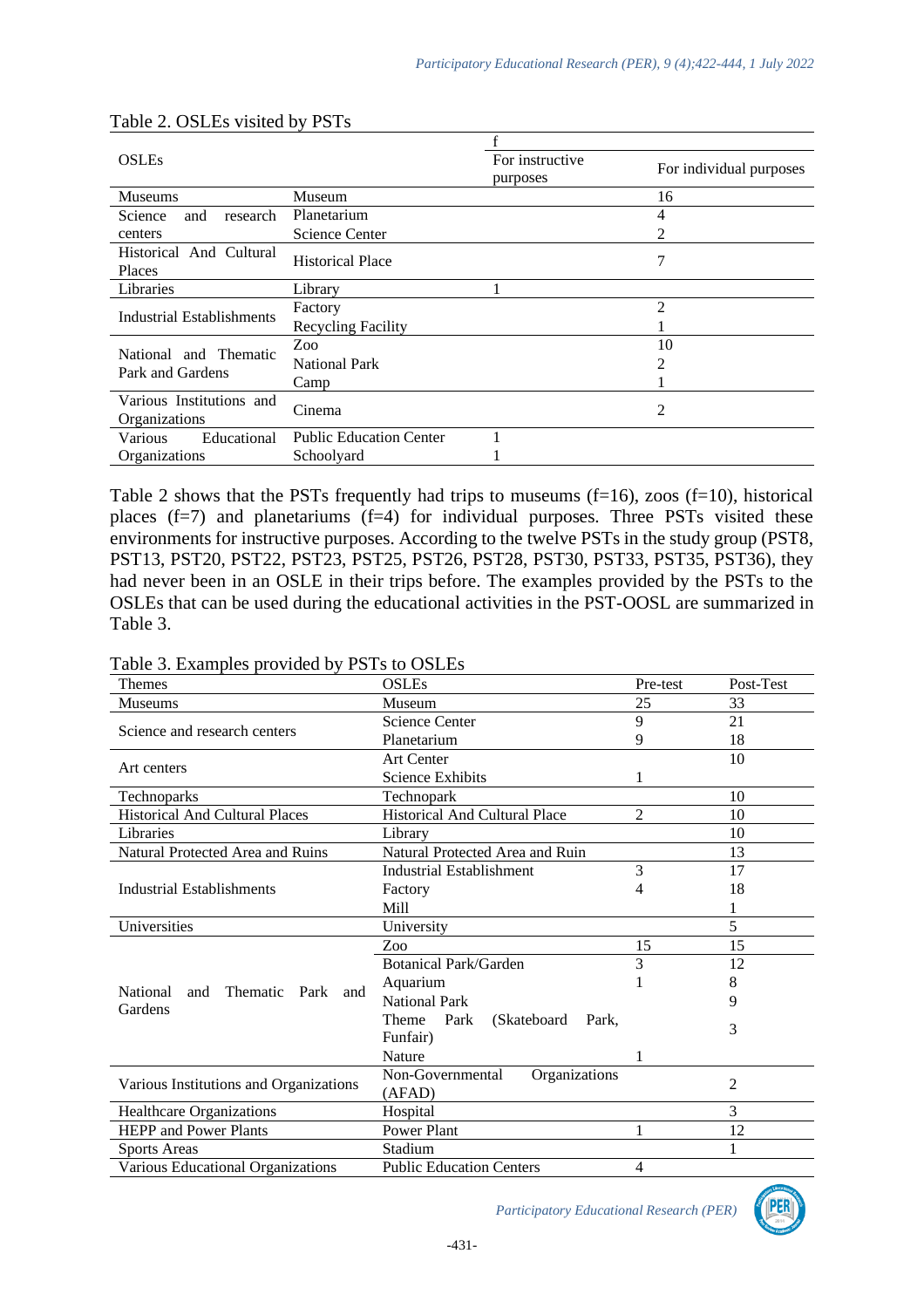| <b>OSLEs</b>                              |                                | For instructive<br>purposes | For individual purposes |
|-------------------------------------------|--------------------------------|-----------------------------|-------------------------|
| <b>Museums</b>                            | Museum                         |                             | 16                      |
| Science<br>research<br>and                | Planetarium                    |                             | 4                       |
| centers                                   | Science Center                 |                             | 2                       |
| Historical And Cultural<br>Places         | <b>Historical Place</b>        |                             | 7                       |
| Libraries                                 | Library                        |                             |                         |
| <b>Industrial Establishments</b>          | Factory                        |                             | $\overline{2}$          |
|                                           | <b>Recycling Facility</b>      |                             |                         |
|                                           | Zoo                            |                             | 10                      |
| National and Thematic<br>Park and Gardens | <b>National Park</b>           |                             | 2                       |
|                                           | Camp                           |                             |                         |
| Various Institutions and<br>Organizations | Cinema                         |                             | 2                       |
| Educational<br>Various                    | <b>Public Education Center</b> |                             |                         |
| Organizations                             | Schoolyard                     |                             |                         |

#### Table 2. OSLEs visited by PSTs

Table 2 shows that the PSTs frequently had trips to museums  $(f=16)$ , zoos  $(f=10)$ , historical places  $(f=7)$  and planetariums  $(f=4)$  for individual purposes. Three PSTs visited these environments for instructive purposes. According to the twelve PSTs in the study group (PST8, PST13, PST20, PST22, PST23, PST25, PST26, PST28, PST30, PST33, PST35, PST36), they had never been in an OSLE in their trips before. The examples provided by the PSTs to the OSLEs that can be used during the educational activities in the PST-OOSL are summarized in Table 3.

| $2.14412 \times 10^{-12}$              |                                        |                |                |
|----------------------------------------|----------------------------------------|----------------|----------------|
| Themes                                 | <b>OSLEs</b>                           | Pre-test       | Post-Test      |
| Museums                                | Museum                                 | 25             | 33             |
|                                        | Science Center                         | 9              | 21             |
| Science and research centers           | Planetarium                            | 9              | 18             |
|                                        | Art Center                             |                | 10             |
| Art centers                            | <b>Science Exhibits</b>                | 1              |                |
| Technoparks                            | Technopark                             |                | 10             |
| <b>Historical And Cultural Places</b>  | <b>Historical And Cultural Place</b>   | $\overline{2}$ | 10             |
| Libraries                              | Library                                |                | 10             |
| Natural Protected Area and Ruins       | Natural Protected Area and Ruin        |                | 13             |
|                                        | <b>Industrial Establishment</b>        | 3              | 17             |
| <b>Industrial Establishments</b>       | Factory                                | 4              | 18             |
|                                        | Mill                                   |                |                |
| Universities                           | University                             |                | 5              |
|                                        | Zoo                                    | 15             | 15             |
|                                        | <b>Botanical Park/Garden</b>           | 3              | 12             |
| Thematic Park and<br>National<br>and   | Aquarium                               |                | 8              |
| Gardens                                | <b>National Park</b>                   |                | 9              |
|                                        | Theme<br>Park<br>(Skateboard)<br>Park. |                |                |
|                                        | Funfair)                               |                | 3              |
|                                        | Nature                                 |                |                |
| Various Institutions and Organizations | Non-Governmental<br>Organizations      |                | $\overline{2}$ |
|                                        | (AFAD)                                 |                |                |
| <b>Healthcare Organizations</b>        | Hospital                               |                | 3              |
| <b>HEPP</b> and Power Plants           | Power Plant                            | 1              | 12             |
| <b>Sports Areas</b>                    | Stadium                                |                | 1              |
| Various Educational Organizations      | <b>Public Education Centers</b>        | 4              |                |

#### Table 3. Examples provided by PSTs to OSLEs

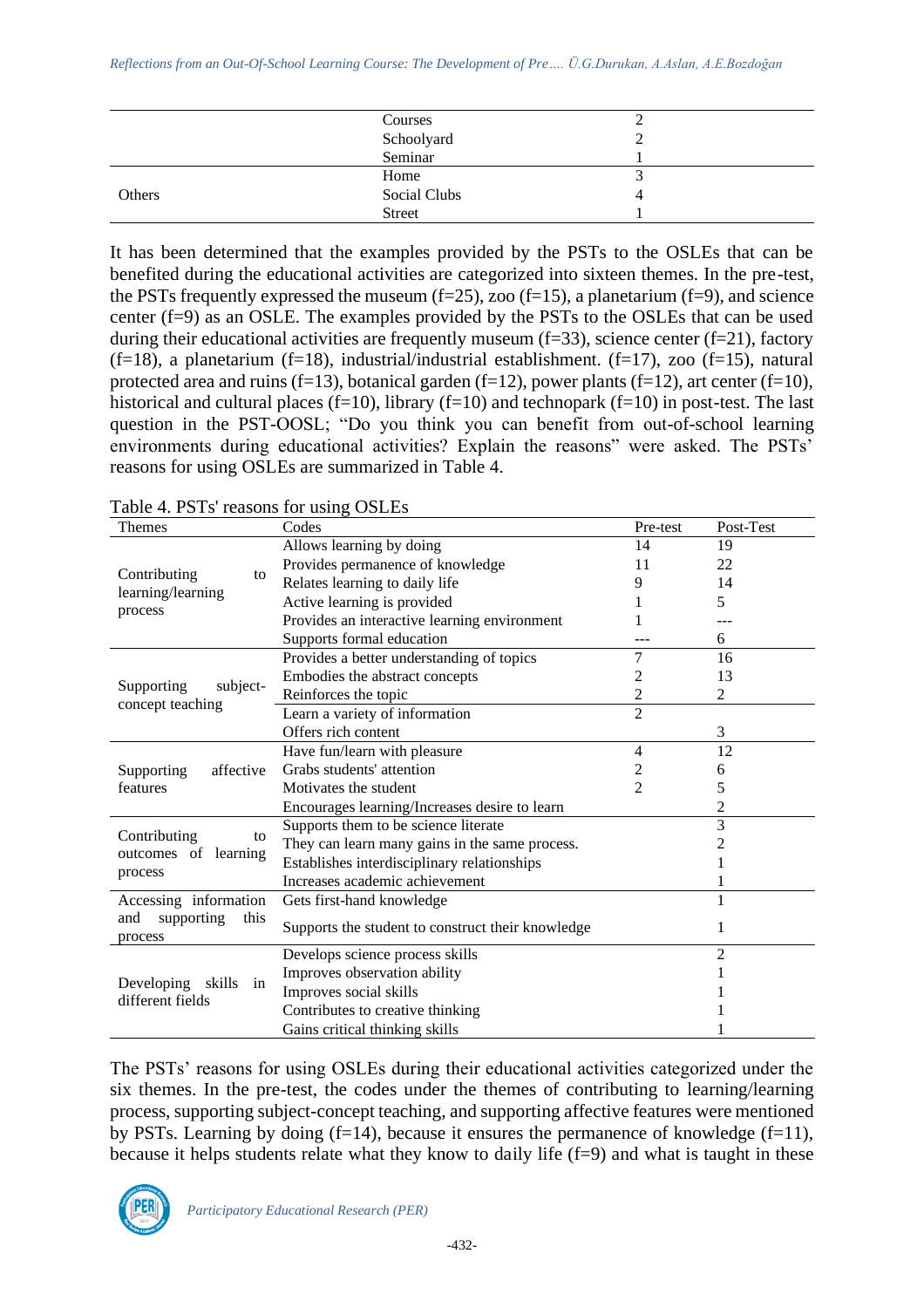|        | Courses       | ∸ |  |
|--------|---------------|---|--|
|        | Schoolyard    | ↩ |  |
|        | Seminar       |   |  |
|        | Home          |   |  |
| Others | Social Clubs  | 4 |  |
|        | <b>Street</b> |   |  |

It has been determined that the examples provided by the PSTs to the OSLEs that can be benefited during the educational activities are categorized into sixteen themes. In the pre-test, the PSTs frequently expressed the museum  $(f=25)$ , zoo  $(f=15)$ , a planetarium  $(f=9)$ , and science center (f=9) as an OSLE. The examples provided by the PSTs to the OSLEs that can be used during their educational activities are frequently museum (f=33), science center (f=21), factory  $(f=18)$ , a planetarium  $(f=18)$ , industrial/industrial establishment.  $(f=17)$ , zoo  $(f=15)$ , natural protected area and ruins (f=13), botanical garden (f=12), power plants (f=12), art center (f=10), historical and cultural places (f=10), library (f=10) and technopark (f=10) in post-test. The last question in the PST-OOSL; "Do you think you can benefit from out-of-school learning environments during educational activities? Explain the reasons" were asked. The PSTs' reasons for using OSLEs are summarized in Table 4.

| Themes                                     | Codes                                             | Pre-test       | Post-Test      |
|--------------------------------------------|---------------------------------------------------|----------------|----------------|
|                                            | Allows learning by doing                          | 14             | 19             |
|                                            | Provides permanence of knowledge                  | 11             | 22             |
| Contributing<br>to                         | Relates learning to daily life                    | 9              | 14             |
| learning/learning                          | Active learning is provided                       |                | 5              |
| process                                    | Provides an interactive learning environment      |                |                |
|                                            | Supports formal education                         |                | 6              |
|                                            | Provides a better understanding of topics         | 7              | 16             |
| subject-<br>Supporting                     | Embodies the abstract concepts                    | 2              | 13             |
|                                            | Reinforces the topic                              | 2              | 2              |
| concept teaching                           | Learn a variety of information                    | $\overline{2}$ |                |
|                                            | Offers rich content                               |                | 3              |
|                                            | Have fun/learn with pleasure                      | $\overline{4}$ | 12             |
| affective<br>Supporting                    | Grabs students' attention                         | 2              | 6              |
| features                                   | Motivates the student                             | $\overline{2}$ | 5              |
|                                            | Encourages learning/Increases desire to learn     |                | 2              |
|                                            | Supports them to be science literate              |                | 3              |
| Contributing<br>to<br>outcomes of learning | They can learn many gains in the same process.    |                | 2              |
|                                            | Establishes interdisciplinary relationships       |                |                |
| process                                    | Increases academic achievement                    |                |                |
| Accessing information                      | Gets first-hand knowledge                         |                |                |
| and<br>supporting<br>this<br>process       | Supports the student to construct their knowledge |                |                |
|                                            | Develops science process skills                   |                | $\overline{c}$ |
| Developing skills<br>in                    | Improves observation ability                      |                |                |
| different fields                           | Improves social skills                            |                |                |
|                                            | Contributes to creative thinking                  |                |                |
|                                            | Gains critical thinking skills                    |                |                |

Table 4. PSTs' reasons for using OSLEs

The PSTs' reasons for using OSLEs during their educational activities categorized under the six themes. In the pre-test, the codes under the themes of contributing to learning/learning process, supporting subject-concept teaching, and supporting affective features were mentioned by PSTs. Learning by doing  $(f=14)$ , because it ensures the permanence of knowledge  $(f=11)$ , because it helps students relate what they know to daily life (f=9) and what is taught in these

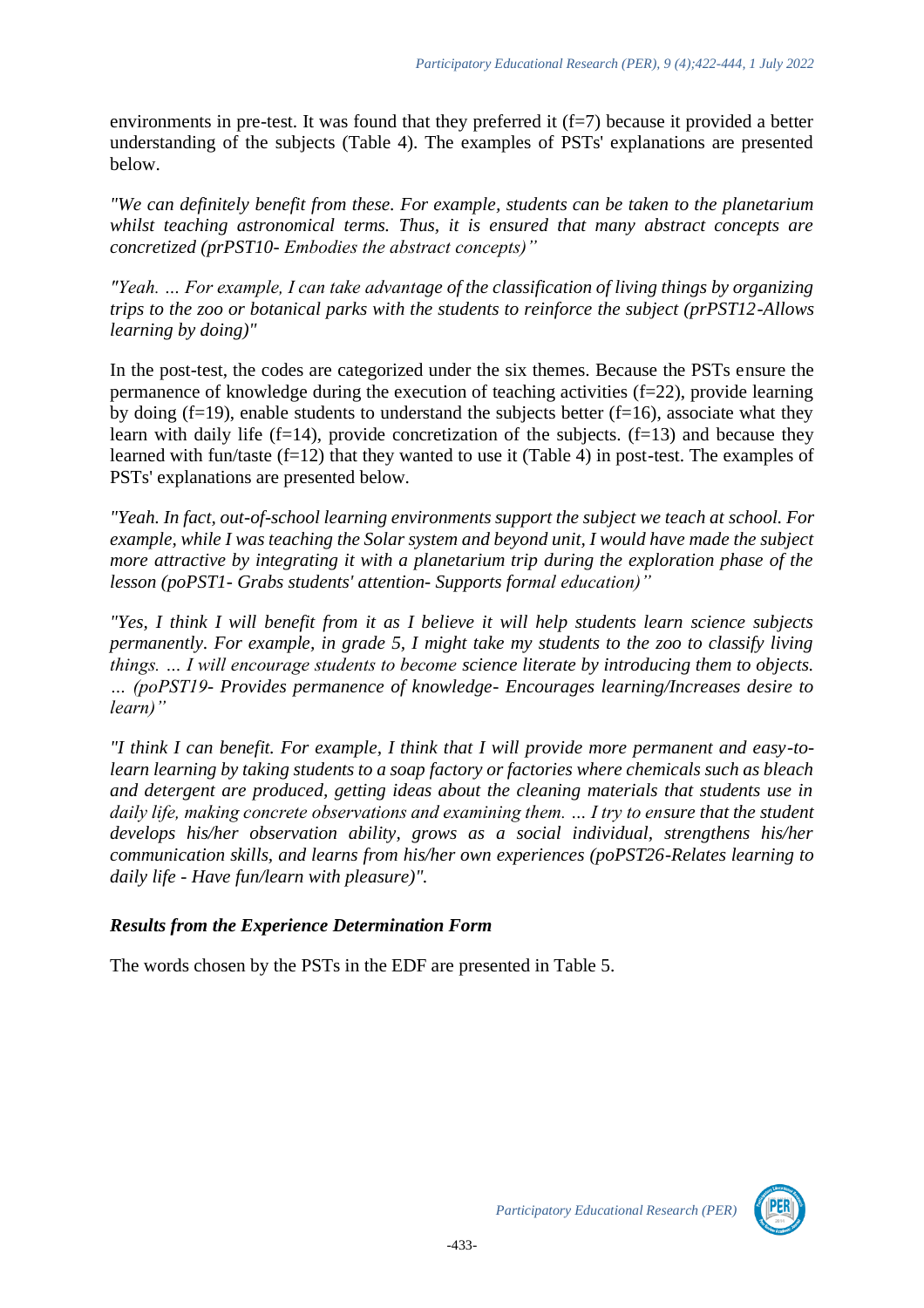environments in pre-test. It was found that they preferred it  $(f=7)$  because it provided a better understanding of the subjects (Table 4). The examples of PSTs' explanations are presented below.

*"We can definitely benefit from these. For example, students can be taken to the planetarium whilst teaching astronomical terms. Thus, it is ensured that many abstract concepts are concretized (prPST10- Embodies the abstract concepts)"*

*"Yeah. … For example, I can take advantage of the classification of living things by organizing trips to the zoo or botanical parks with the students to reinforce the subject (prPST12*-*Allows learning by doing)"*

In the post-test, the codes are categorized under the six themes. Because the PSTs ensure the permanence of knowledge during the execution of teaching activities  $(f=22)$ , provide learning by doing  $(f=19)$ , enable students to understand the subjects better  $(f=16)$ , associate what they learn with daily life  $(f=14)$ , provide concretization of the subjects.  $(f=13)$  and because they learned with fun/taste (f=12) that they wanted to use it (Table 4) in post-test. The examples of PSTs' explanations are presented below.

*"Yeah. In fact, out-of-school learning environments support the subject we teach at school. For example, while I was teaching the Solar system and beyond unit, I would have made the subject more attractive by integrating it with a planetarium trip during the exploration phase of the lesson (poPST1- Grabs students' attention- Supports formal education)"*

*"Yes, I think I will benefit from it as I believe it will help students learn science subjects permanently. For example, in grade 5, I might take my students to the zoo to classify living things. … I will encourage students to become science literate by introducing them to objects. … (poPST19- Provides permanence of knowledge- Encourages learning/Increases desire to learn)"*

*"I think I can benefit. For example, I think that I will provide more permanent and easy-tolearn learning by taking students to a soap factory or factories where chemicals such as bleach and detergent are produced, getting ideas about the cleaning materials that students use in daily life, making concrete observations and examining them. … I try to ensure that the student develops his/her observation ability, grows as a social individual, strengthens his/her communication skills, and learns from his/her own experiences (poPST26-Relates learning to daily life - Have fun/learn with pleasure)".*

# *Results from the Experience Determination Form*

The words chosen by the PSTs in the EDF are presented in Table 5.

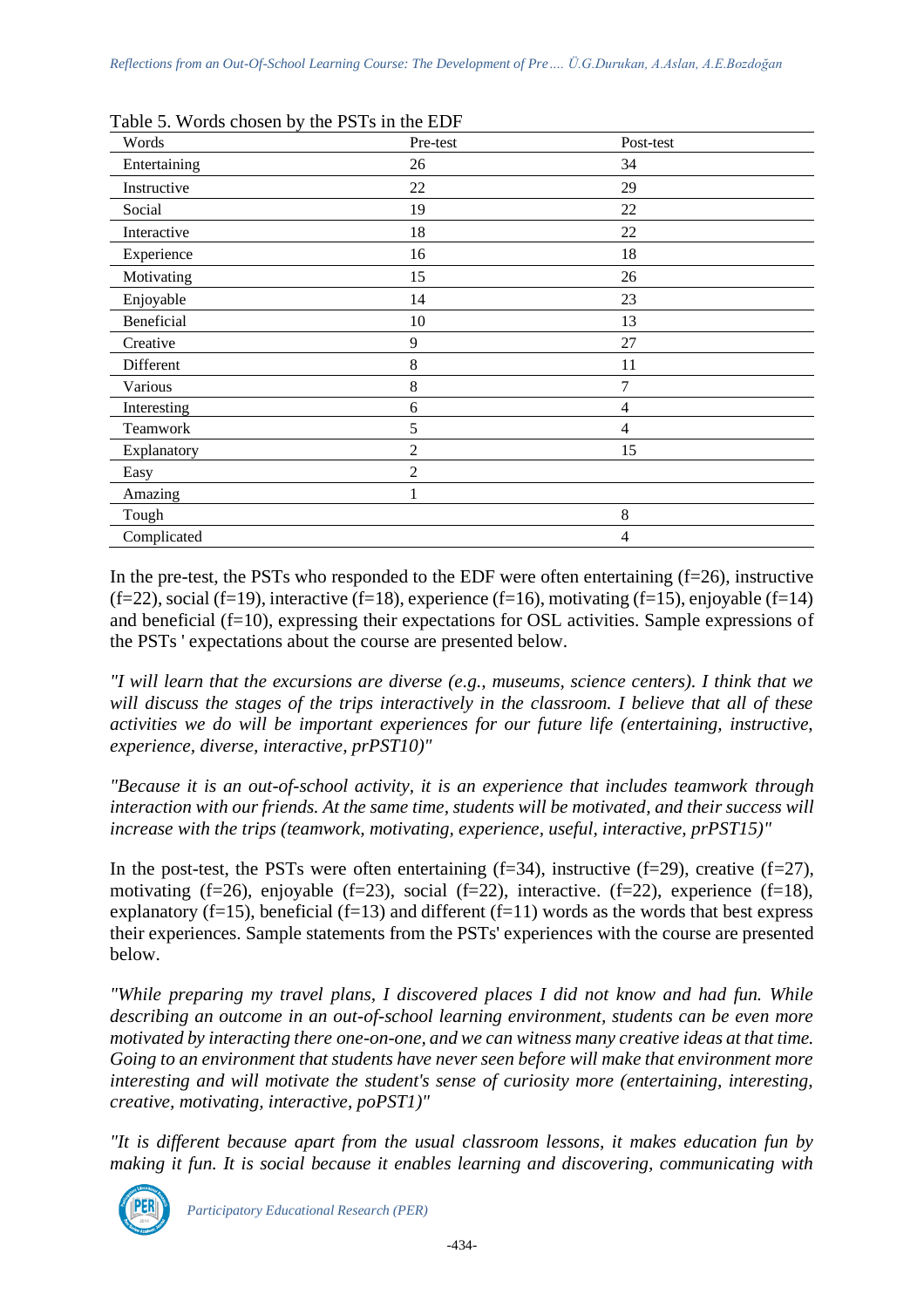| Words        | Pre-test       | Post-test      |  |
|--------------|----------------|----------------|--|
| Entertaining | 26             | 34             |  |
| Instructive  | 22             | 29             |  |
| Social       | 19             | 22             |  |
| Interactive  | 18             | 22             |  |
| Experience   | 16             | 18             |  |
| Motivating   | 15             | 26             |  |
| Enjoyable    | 14             | 23             |  |
| Beneficial   | 10             | 13             |  |
| Creative     | 9              | 27             |  |
| Different    | 8              | 11             |  |
| Various      | 8              | 7              |  |
| Interesting  | 6              | $\overline{4}$ |  |
| Teamwork     | 5              | $\overline{4}$ |  |
| Explanatory  | $\overline{c}$ | 15             |  |
| Easy         | $\overline{2}$ |                |  |
| Amazing      |                |                |  |
| Tough        |                | 8              |  |
| Complicated  |                | 4              |  |

Table 5. Words chosen by the PSTs in the EDF

In the pre-test, the PSTs who responded to the EDF were often entertaining  $(f=26)$ , instructive  $(f=22)$ , social  $(f=19)$ , interactive  $(f=18)$ , experience  $(f=16)$ , motivating  $(f=15)$ , enjoyable  $(f=14)$ and beneficial (f=10), expressing their expectations for OSL activities. Sample expressions of the PSTs ' expectations about the course are presented below.

*"I will learn that the excursions are diverse (e.g., museums, science centers). I think that we will discuss the stages of the trips interactively in the classroom. I believe that all of these activities we do will be important experiences for our future life (entertaining, instructive, experience, diverse, interactive, prPST10)"*

*"Because it is an out-of-school activity, it is an experience that includes teamwork through interaction with our friends. At the same time, students will be motivated, and their success will increase with the trips (teamwork, motivating, experience, useful, interactive, prPST15)"*

In the post-test, the PSTs were often entertaining  $(f=34)$ , instructive  $(f=29)$ , creative  $(f=27)$ , motivating (f=26), enjoyable (f=23), social (f=22), interactive. (f=22), experience (f=18), explanatory (f=15), beneficial (f=13) and different (f=11) words as the words that best express their experiences. Sample statements from the PSTs' experiences with the course are presented below.

*"While preparing my travel plans, I discovered places I did not know and had fun. While describing an outcome in an out-of-school learning environment, students can be even more motivated by interacting there one-on-one, and we can witness many creative ideas at that time. Going to an environment that students have never seen before will make that environment more interesting and will motivate the student's sense of curiosity more (entertaining, interesting, creative, motivating, interactive, poPST1)"*

*"It is different because apart from the usual classroom lessons, it makes education fun by making it fun. It is social because it enables learning and discovering, communicating with* 

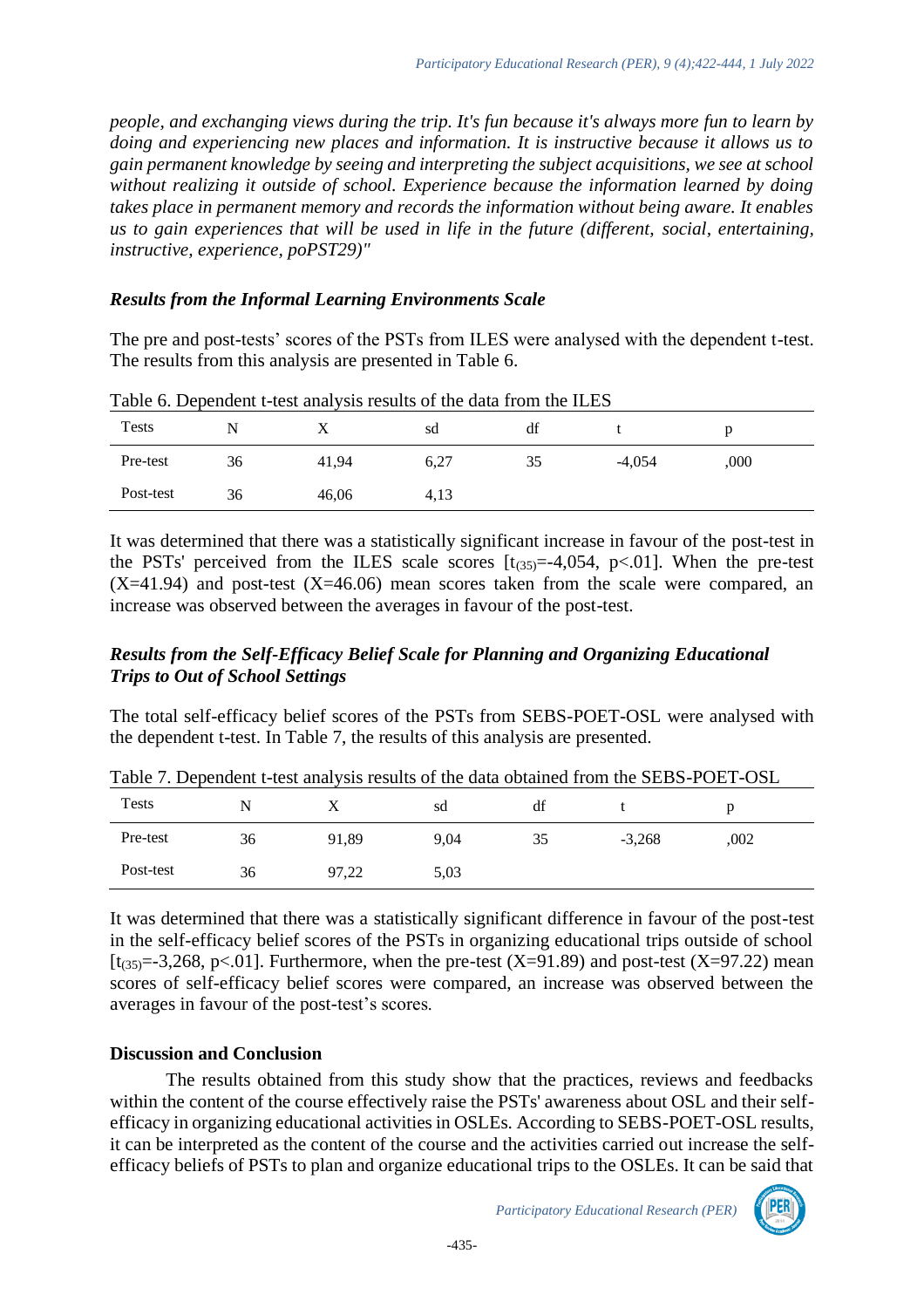*people, and exchanging views during the trip. It's fun because it's always more fun to learn by doing and experiencing new places and information. It is instructive because it allows us to gain permanent knowledge by seeing and interpreting the subject acquisitions, we see at school without realizing it outside of school. Experience because the information learned by doing takes place in permanent memory and records the information without being aware. It enables us to gain experiences that will be used in life in the future (different, social, entertaining, instructive, experience, poPST29)"*

#### *Results from the Informal Learning Environments Scale*

The pre and post-tests' scores of the PSTs from ILES were analysed with the dependent t-test. The results from this analysis are presented in Table 6.

| <b>Tests</b> |    |       | sd   | df |          |      |  |
|--------------|----|-------|------|----|----------|------|--|
| Pre-test     | 36 | 41,94 | 6,27 | 35 | $-4,054$ | ,000 |  |
| Post-test    | 36 | 46,06 | 4,13 |    |          |      |  |

Table 6. Dependent t-test analysis results of the data from the ILES

It was determined that there was a statistically significant increase in favour of the post-test in the PSTs' perceived from the ILES scale scores  $[t_{(35)}=-4,054, p<0.01]$ . When the pre-test  $(X=41.94)$  and post-test  $(X=46.06)$  mean scores taken from the scale were compared, an increase was observed between the averages in favour of the post-test.

# *Results from the Self-Efficacy Belief Scale for Planning and Organizing Educational Trips to Out of School Settings*

The total self-efficacy belief scores of the PSTs from SEBS-POET-OSL were analysed with the dependent t-test. In Table 7, the results of this analysis are presented.

| <b>Tests</b> | N  |       | sd   | đt | Table 7. Dependent t-wst analysis results of the data obtained from the SEDS-T OET-OSE |      |  |
|--------------|----|-------|------|----|----------------------------------------------------------------------------------------|------|--|
| Pre-test     | 36 | 91.89 | 9.04 | 35 | $-3.268$                                                                               | .002 |  |
| Post-test    | 36 | 97.22 | 5.03 |    |                                                                                        |      |  |

Table 7. Dependent t-test analysis results of the data obtained from the SEBS-POET-OSL

It was determined that there was a statistically significant difference in favour of the post-test in the self-efficacy belief scores of the PSTs in organizing educational trips outside of school [ $t_{(35)}=-3.268$ , p<.01]. Furthermore, when the pre-test (X=91.89) and post-test (X=97.22) mean scores of self-efficacy belief scores were compared, an increase was observed between the averages in favour of the post-test's scores.

# **Discussion and Conclusion**

The results obtained from this study show that the practices, reviews and feedbacks within the content of the course effectively raise the PSTs' awareness about OSL and their selfefficacy in organizing educational activities in OSLEs. According to SEBS-POET-OSL results, it can be interpreted as the content of the course and the activities carried out increase the selfefficacy beliefs of PSTs to plan and organize educational trips to the OSLEs. It can be said that

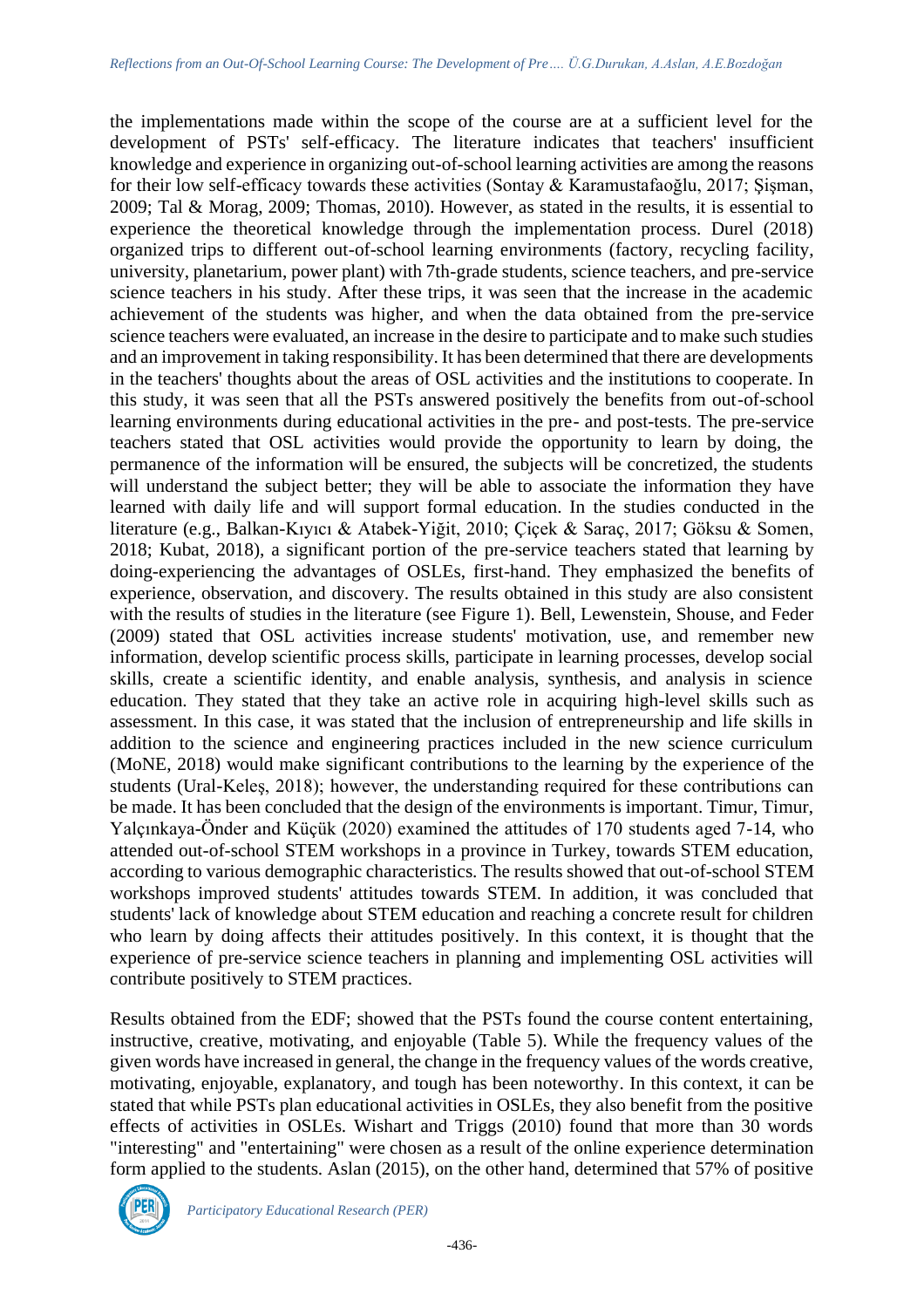the implementations made within the scope of the course are at a sufficient level for the development of PSTs' self-efficacy. The literature indicates that teachers' insufficient knowledge and experience in organizing out-of-school learning activities are among the reasons for their low self-efficacy towards these activities (Sontay & Karamustafaoğlu, 2017; Şişman, 2009; Tal & Morag, 2009; Thomas, 2010). However, as stated in the results, it is essential to experience the theoretical knowledge through the implementation process. Durel (2018) organized trips to different out-of-school learning environments (factory, recycling facility, university, planetarium, power plant) with 7th-grade students, science teachers, and pre-service science teachers in his study. After these trips, it was seen that the increase in the academic achievement of the students was higher, and when the data obtained from the pre-service science teachers were evaluated, an increase in the desire to participate and to make such studies and an improvement in taking responsibility. It has been determined that there are developments in the teachers' thoughts about the areas of OSL activities and the institutions to cooperate. In this study, it was seen that all the PSTs answered positively the benefits from out-of-school learning environments during educational activities in the pre- and post-tests. The pre-service teachers stated that OSL activities would provide the opportunity to learn by doing, the permanence of the information will be ensured, the subjects will be concretized, the students will understand the subject better; they will be able to associate the information they have learned with daily life and will support formal education. In the studies conducted in the literature (e.g., Balkan-Kıyıcı & Atabek-Yiğit, 2010; Çiçek & Saraç, 2017; Göksu & Somen, 2018; Kubat, 2018), a significant portion of the pre-service teachers stated that learning by doing-experiencing the advantages of OSLEs, first-hand. They emphasized the benefits of experience, observation, and discovery. The results obtained in this study are also consistent with the results of studies in the literature (see Figure 1). Bell, Lewenstein, Shouse, and Feder (2009) stated that OSL activities increase students' motivation, use, and remember new information, develop scientific process skills, participate in learning processes, develop social skills, create a scientific identity, and enable analysis, synthesis, and analysis in science education. They stated that they take an active role in acquiring high-level skills such as assessment. In this case, it was stated that the inclusion of entrepreneurship and life skills in addition to the science and engineering practices included in the new science curriculum (MoNE, 2018) would make significant contributions to the learning by the experience of the students (Ural-Keleş, 2018); however, the understanding required for these contributions can be made. It has been concluded that the design of the environments is important. Timur, Timur, Yalçınkaya-Önder and Küçük (2020) examined the attitudes of 170 students aged 7-14, who attended out-of-school STEM workshops in a province in Turkey, towards STEM education, according to various demographic characteristics. The results showed that out-of-school STEM workshops improved students' attitudes towards STEM. In addition, it was concluded that students' lack of knowledge about STEM education and reaching a concrete result for children who learn by doing affects their attitudes positively. In this context, it is thought that the experience of pre-service science teachers in planning and implementing OSL activities will contribute positively to STEM practices.

Results obtained from the EDF; showed that the PSTs found the course content entertaining, instructive, creative, motivating, and enjoyable (Table 5). While the frequency values of the given words have increased in general, the change in the frequency values of the words creative, motivating, enjoyable, explanatory, and tough has been noteworthy. In this context, it can be stated that while PSTs plan educational activities in OSLEs, they also benefit from the positive effects of activities in OSLEs. Wishart and Triggs (2010) found that more than 30 words "interesting" and "entertaining" were chosen as a result of the online experience determination form applied to the students. Aslan (2015), on the other hand, determined that 57% of positive

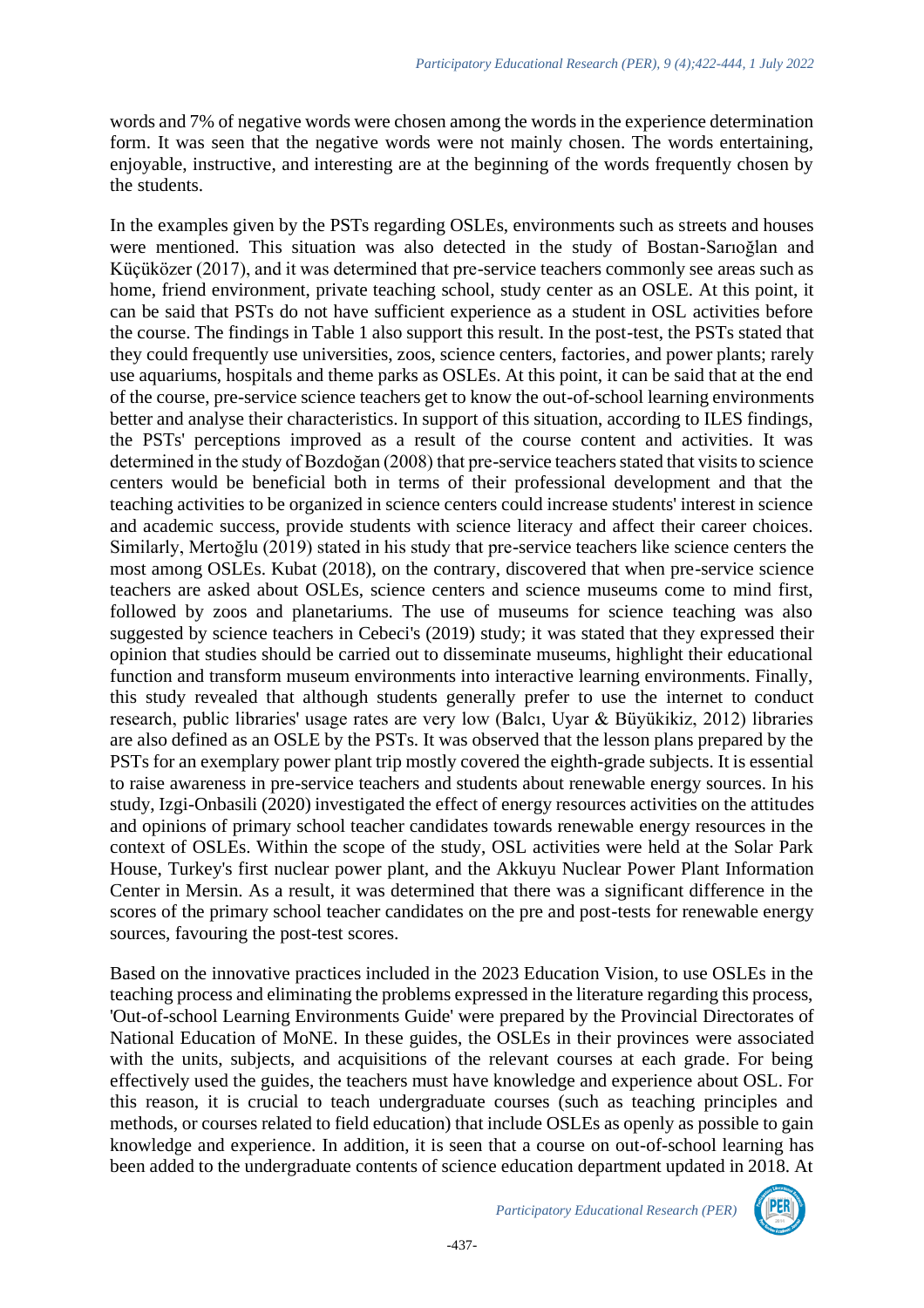words and 7% of negative words were chosen among the words in the experience determination form. It was seen that the negative words were not mainly chosen. The words entertaining, enjoyable, instructive, and interesting are at the beginning of the words frequently chosen by the students.

In the examples given by the PSTs regarding OSLEs, environments such as streets and houses were mentioned. This situation was also detected in the study of Bostan-Sarıoğlan and Küçüközer (2017), and it was determined that pre-service teachers commonly see areas such as home, friend environment, private teaching school, study center as an OSLE. At this point, it can be said that PSTs do not have sufficient experience as a student in OSL activities before the course. The findings in Table 1 also support this result. In the post-test, the PSTs stated that they could frequently use universities, zoos, science centers, factories, and power plants; rarely use aquariums, hospitals and theme parks as OSLEs. At this point, it can be said that at the end of the course, pre-service science teachers get to know the out-of-school learning environments better and analyse their characteristics. In support of this situation, according to ILES findings, the PSTs' perceptions improved as a result of the course content and activities. It was determined in the study of Bozdoğan (2008) that pre-service teachers stated that visits to science centers would be beneficial both in terms of their professional development and that the teaching activities to be organized in science centers could increase students' interest in science and academic success, provide students with science literacy and affect their career choices. Similarly, Mertoğlu (2019) stated in his study that pre-service teachers like science centers the most among OSLEs. Kubat (2018), on the contrary, discovered that when pre-service science teachers are asked about OSLEs, science centers and science museums come to mind first, followed by zoos and planetariums. The use of museums for science teaching was also suggested by science teachers in Cebeci's (2019) study; it was stated that they expressed their opinion that studies should be carried out to disseminate museums, highlight their educational function and transform museum environments into interactive learning environments. Finally, this study revealed that although students generally prefer to use the internet to conduct research, public libraries' usage rates are very low (Balcı, Uyar & Büyükikiz, 2012) libraries are also defined as an OSLE by the PSTs. It was observed that the lesson plans prepared by the PSTs for an exemplary power plant trip mostly covered the eighth-grade subjects. It is essential to raise awareness in pre-service teachers and students about renewable energy sources. In his study, Izgi-Onbasili (2020) investigated the effect of energy resources activities on the attitudes and opinions of primary school teacher candidates towards renewable energy resources in the context of OSLEs. Within the scope of the study, OSL activities were held at the Solar Park House, Turkey's first nuclear power plant, and the Akkuyu Nuclear Power Plant Information Center in Mersin. As a result, it was determined that there was a significant difference in the scores of the primary school teacher candidates on the pre and post-tests for renewable energy sources, favouring the post-test scores.

Based on the innovative practices included in the 2023 Education Vision, to use OSLEs in the teaching process and eliminating the problems expressed in the literature regarding this process, 'Out-of-school Learning Environments Guide' were prepared by the Provincial Directorates of National Education of MoNE. In these guides, the OSLEs in their provinces were associated with the units, subjects, and acquisitions of the relevant courses at each grade. For being effectively used the guides, the teachers must have knowledge and experience about OSL. For this reason, it is crucial to teach undergraduate courses (such as teaching principles and methods, or courses related to field education) that include OSLEs as openly as possible to gain knowledge and experience. In addition, it is seen that a course on out-of-school learning has been added to the undergraduate contents of science education department updated in 2018. At

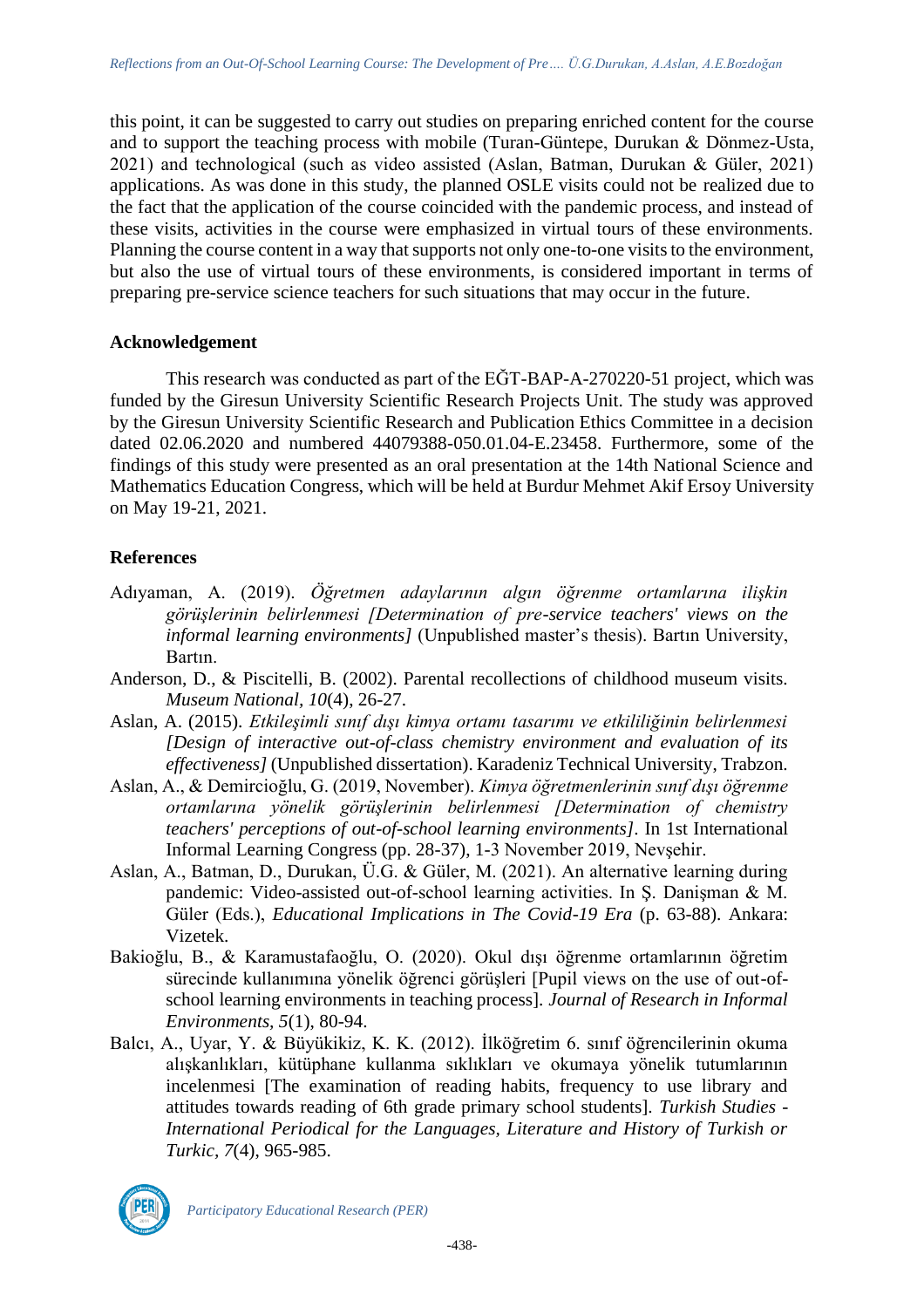this point, it can be suggested to carry out studies on preparing enriched content for the course and to support the teaching process with mobile (Turan-Güntepe, Durukan & Dönmez-Usta, 2021) and technological (such as video assisted (Aslan, Batman, Durukan & Güler, 2021) applications. As was done in this study, the planned OSLE visits could not be realized due to the fact that the application of the course coincided with the pandemic process, and instead of these visits, activities in the course were emphasized in virtual tours of these environments. Planning the course content in a way that supports not only one-to-one visits to the environment, but also the use of virtual tours of these environments, is considered important in terms of preparing pre-service science teachers for such situations that may occur in the future.

#### **Acknowledgement**

This research was conducted as part of the EĞT-BAP-A-270220-51 project, which was funded by the Giresun University Scientific Research Projects Unit. The study was approved by the Giresun University Scientific Research and Publication Ethics Committee in a decision dated 02.06.2020 and numbered 44079388-050.01.04-E.23458. Furthermore, some of the findings of this study were presented as an oral presentation at the 14th National Science and Mathematics Education Congress, which will be held at Burdur Mehmet Akif Ersoy University on May 19-21, 2021.

#### **References**

- Adıyaman, A. (2019). *Öğretmen adaylarının algın öğrenme ortamlarına ilişkin görüşlerinin belirlenmesi [Determination of pre-service teachers' views on the informal learning environments]* (Unpublished master's thesis). Bartın University, Bartın.
- Anderson, D., & Piscitelli, B. (2002). Parental recollections of childhood museum visits. *Museum National, 10*(4), 26-27.
- Aslan, A. (2015). *Etkileşimli sınıf dışı kimya ortamı tasarımı ve etkililiğinin belirlenmesi [Design of interactive out-of-class chemistry environment and evaluation of its effectiveness]* (Unpublished dissertation). Karadeniz Technical University, Trabzon.
- Aslan, A., & Demircioğlu, G. (2019, November). *Kimya öğretmenlerinin sınıf dışı öğrenme ortamlarına yönelik görüşlerinin belirlenmesi [Determination of chemistry teachers' perceptions of out-of-school learning environments]*. In 1st International Informal Learning Congress (pp. 28-37), 1-3 November 2019, Nevşehir.
- Aslan, A., Batman, D., Durukan, Ü.G. & Güler, M. (2021). An alternative learning during pandemic: Video-assisted out-of-school learning activities. In Ş. Danişman & M. Güler (Eds.), *Educational Implications in The Covid-19 Era* (p. 63-88). Ankara: Vizetek.
- Bakioğlu, B., & Karamustafaoğlu, O. (2020). Okul dışı öğrenme ortamlarının öğretim sürecinde kullanımına yönelik öğrenci görüşleri [Pupil views on the use of out-ofschool learning environments in teaching process]. *Journal of Research in Informal Environments, 5*(1), 80-94.
- Balcı, A., Uyar, Y. & Büyükikiz, K. K. (2012). İlköğretim 6. sınıf öğrencilerinin okuma alışkanlıkları, kütüphane kullanma sıklıkları ve okumaya yönelik tutumlarının incelenmesi [The examination of reading habits, frequency to use library and attitudes towards reading of 6th grade primary school students]. *Turkish Studies - International Periodical for the Languages, Literature and History of Turkish or Turkic, 7*(4), 965-985.

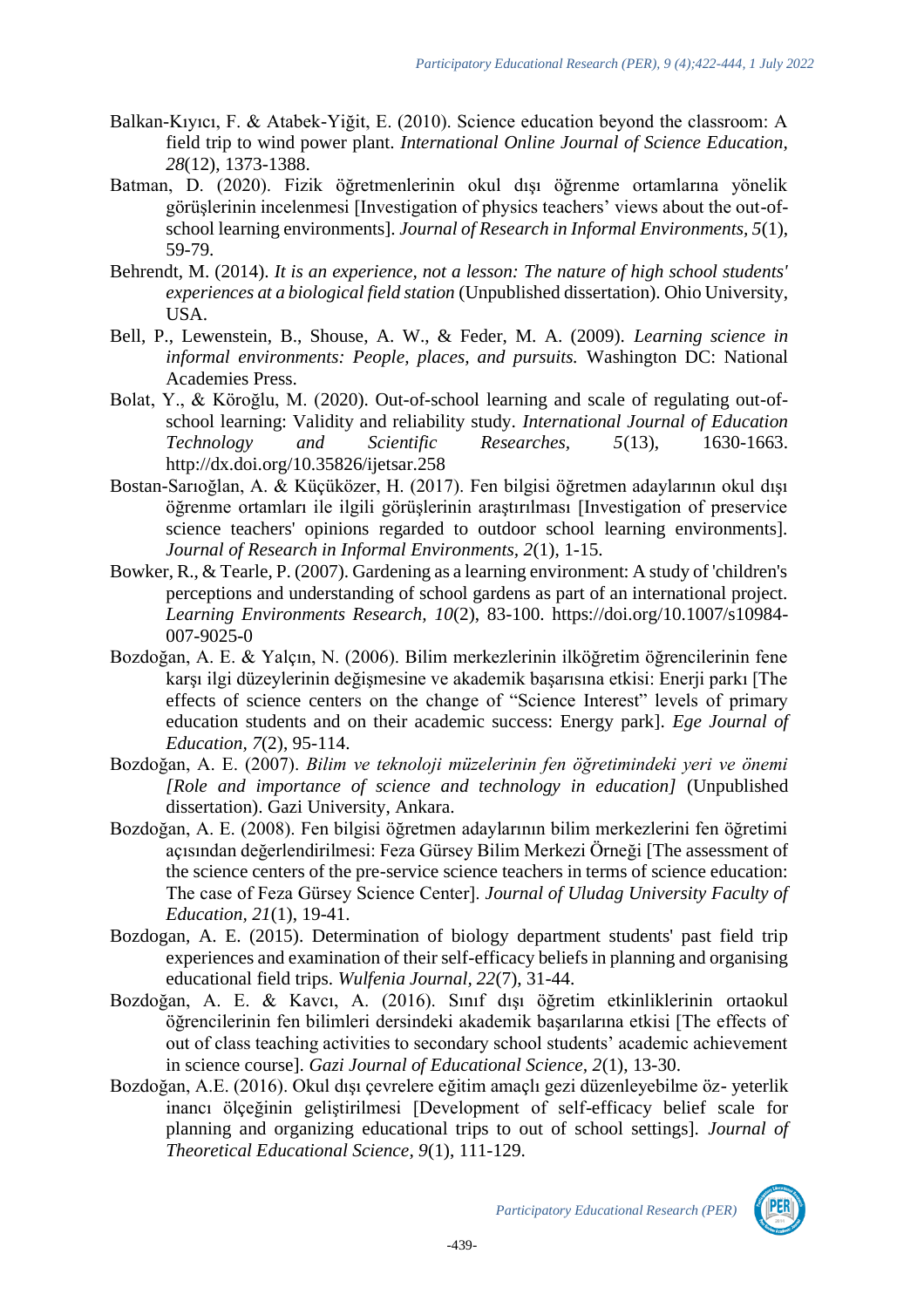- Balkan-Kıyıcı, F. & Atabek-Yiğit, E. (2010). Science education beyond the classroom: A field trip to wind power plant. *International Online Journal of Science Education, 28*(12), 1373-1388.
- Batman, D. (2020). Fizik öğretmenlerinin okul dışı öğrenme ortamlarına yönelik görüşlerinin incelenmesi [Investigation of physics teachers' views about the out-ofschool learning environments]. *Journal of Research in Informal Environments, 5*(1), 59-79.
- Behrendt, M. (2014). *It is an experience, not a lesson: The nature of high school students' experiences at a biological field station* (Unpublished dissertation). Ohio University, USA.
- Bell, P., Lewenstein, B., Shouse, A. W., & Feder, M. A. (2009). *Learning science in informal environments: People, places, and pursuits.* Washington DC: National Academies Press.
- Bolat, Y., & Köroğlu, M. (2020). Out-of-school learning and scale of regulating out-ofschool learning: Validity and reliability study. *International Journal of Education Technology and Scientific Researches, 5*(13), 1630-1663. http://dx.doi.org/10.35826/ijetsar.258
- Bostan-Sarıoğlan, A. & Küçüközer, H. (2017). Fen bilgisi öğretmen adaylarının okul dışı öğrenme ortamları ile ilgili görüşlerinin araştırılması [Investigation of preservice science teachers' opinions regarded to outdoor school learning environments]. *Journal of Research in Informal Environments, 2*(1), 1-15.
- Bowker, R., & Tearle, P. (2007). Gardening as a learning environment: A study of 'children's perceptions and understanding of school gardens as part of an international project. *Learning Environments Research, 10*(2), 83-100. https://doi.org/10.1007/s10984- 007-9025-0
- Bozdoğan, A. E. & Yalçın, N. (2006). Bilim merkezlerinin ilköğretim öğrencilerinin fene karşı ilgi düzeylerinin değişmesine ve akademik başarısına etkisi: Enerji parkı [The effects of science centers on the change of "Science Interest" levels of primary education students and on their academic success: Energy park]. *Ege Journal of Education, 7*(2), 95-114.
- Bozdoğan, A. E. (2007). *Bilim ve teknoloji müzelerinin fen öğretimindeki yeri ve önemi [Role and importance of science and technology in education]* (Unpublished dissertation). Gazi University, Ankara.
- Bozdoğan, A. E. (2008). Fen bilgisi öğretmen adaylarının bilim merkezlerini fen öğretimi açısından değerlendirilmesi: Feza Gürsey Bilim Merkezi Örneği [The assessment of the science centers of the pre-service science teachers in terms of science education: The case of Feza Gürsey Science Center]. *Journal of Uludag University Faculty of Education, 21*(1), 19-41.
- Bozdogan, A. E. (2015). Determination of biology department students' past field trip experiences and examination of their self-efficacy beliefs in planning and organising educational field trips. *Wulfenia Journal, 22*(7), 31-44.
- Bozdoğan, A. E. & Kavcı, A. (2016). Sınıf dışı öğretim etkinliklerinin ortaokul öğrencilerinin fen bilimleri dersindeki akademik başarılarına etkisi [The effects of out of class teaching activities to secondary school students' academic achievement in science course]. *Gazi Journal of Educational Science, 2*(1), 13-30.
- Bozdoğan, A.E. (2016). Okul dışı çevrelere eğitim amaçlı gezi düzenleyebilme öz- yeterlik inancı ölçeğinin geliştirilmesi [Development of self-efficacy belief scale for planning and organizing educational trips to out of school settings]. *Journal of Theoretical Educational Science, 9*(1), 111-129.



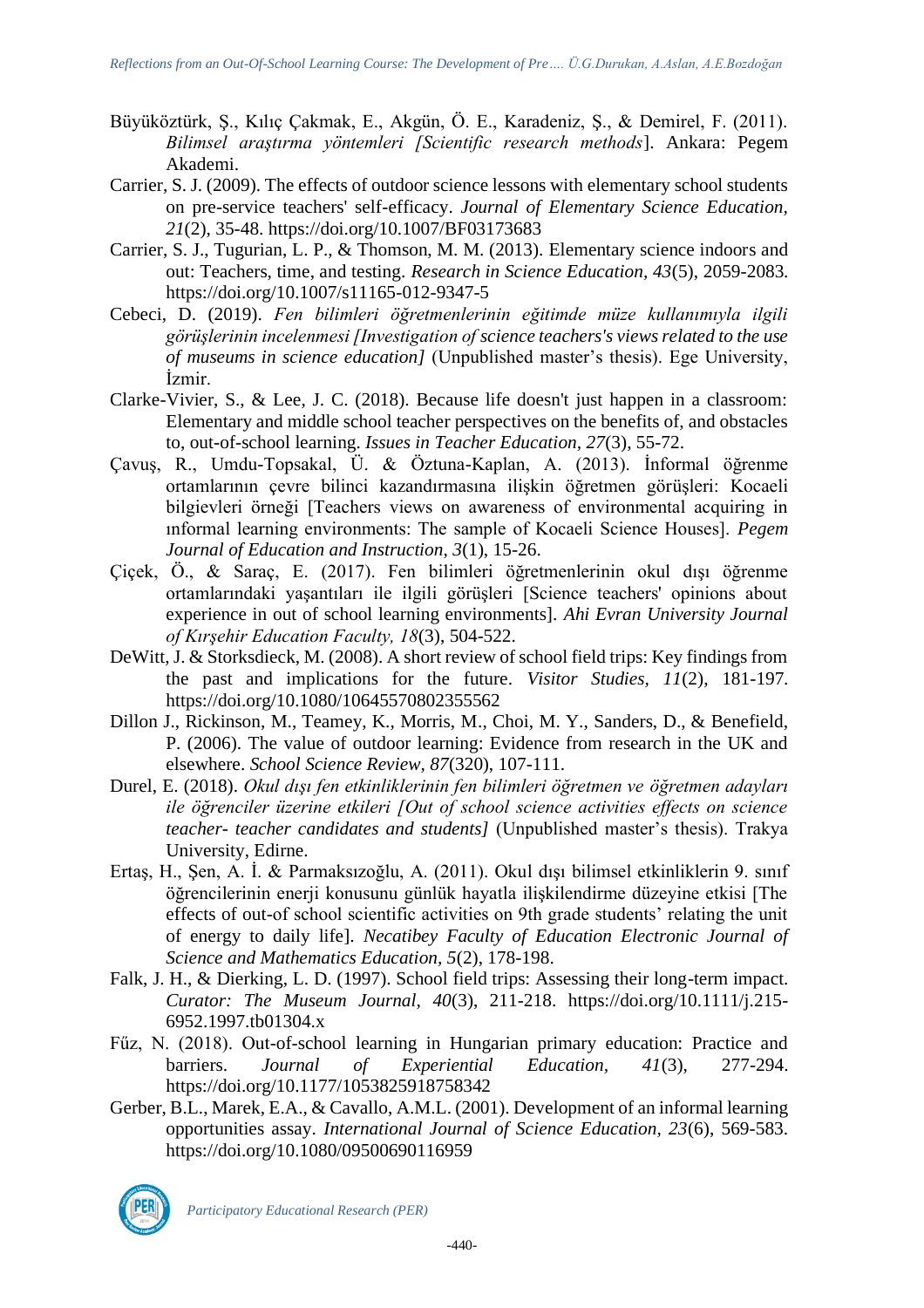- Büyüköztürk, Ş., Kılıç Çakmak, E., Akgün, Ö. E., Karadeniz, Ş., & Demirel, F. (2011). *Bilimsel araştırma yöntemleri [Scientific research methods*]. Ankara: Pegem Akademi.
- Carrier, S. J. (2009). The effects of outdoor science lessons with elementary school students on pre-service teachers' self-efficacy. *Journal of Elementary Science Education, 21*(2), 35-48. https://doi.org/10.1007/BF03173683
- Carrier, S. J., Tugurian, L. P., & Thomson, M. M. (2013). Elementary science indoors and out: Teachers, time, and testing. *Research in Science Education, 43*(5), 2059-2083. https://doi.org/10.1007/s11165-012-9347-5
- Cebeci, D. (2019). *Fen bilimleri öğretmenlerinin eğitimde müze kullanımıyla ilgili görüşlerinin incelenmesi [Investigation of science teachers's views related to the use of museums in science education]* (Unpublished master's thesis). Ege University, İzmir.
- Clarke-Vivier, S., & Lee, J. C. (2018). Because life doesn't just happen in a classroom: Elementary and middle school teacher perspectives on the benefits of, and obstacles to, out-of-school learning. *Issues in Teacher Education, 27*(3), 55-72.
- Çavuş, R., Umdu-Topsakal, Ü. & Öztuna-Kaplan, A. (2013). İnformal öğrenme ortamlarının çevre bilinci kazandırmasına ilişkin öğretmen görüşleri: Kocaeli bilgievleri örneği [Teachers views on awareness of environmental acquiring in ınformal learning environments: The sample of Kocaeli Science Houses]. *Pegem Journal of Education and Instruction, 3*(1), 15-26.
- Çiçek, Ö., & Saraç, E. (2017). Fen bilimleri öğretmenlerinin okul dışı öğrenme ortamlarındaki yaşantıları ile ilgili görüşleri [Science teachers' opinions about experience in out of school learning environments]. *Ahi Evran University Journal of Kırşehir Education Faculty, 18*(3), 504-522.
- DeWitt, J. & Storksdieck, M. (2008). A short review of school field trips: Key findings from the past and implications for the future. *Visitor Studies, 11*(2), 181-197. https://doi.org/10.1080/10645570802355562
- Dillon J., Rickinson, M., Teamey, K., Morris, M., Choi, M. Y., Sanders, D., & Benefield, P. (2006). The value of outdoor learning: Evidence from research in the UK and elsewhere. *School Science Review, 87*(320), 107-111.
- Durel, E. (2018). *Okul dışı fen etkinliklerinin fen bilimleri öğretmen ve öğretmen adayları ile öğrenciler üzerine etkileri [Out of school science activities effects on science teacher- teacher candidates and students]* (Unpublished master's thesis). Trakya University, Edirne.
- Ertaş, H., Şen, A. İ. & Parmaksızoğlu, A. (2011). Okul dışı bilimsel etkinliklerin 9. sınıf öğrencilerinin enerji konusunu günlük hayatla ilişkilendirme düzeyine etkisi [The effects of out-of school scientific activities on 9th grade students' relating the unit of energy to daily life]. *Necatibey Faculty of Education Electronic Journal of Science and Mathematics Education, 5*(2), 178-198.
- Falk, J. H., & Dierking, L. D. (1997). School field trips: Assessing their long-term impact. *Curator: The Museum Journal, 40*(3), 211-218. https://doi.org/10.1111/j.215- 6952.1997.tb01304.x
- Fűz, N. (2018). Out-of-school learning in Hungarian primary education: Practice and barriers. *Journal of Experiential Education, 41*(3), 277-294. https://doi.org/10.1177/1053825918758342
- Gerber, B.L., Marek, E.A., & Cavallo, A.M.L. (2001). Development of an informal learning opportunities assay. *International Journal of Science Education, 23*(6), 569-583. https://doi.org/10.1080/09500690116959

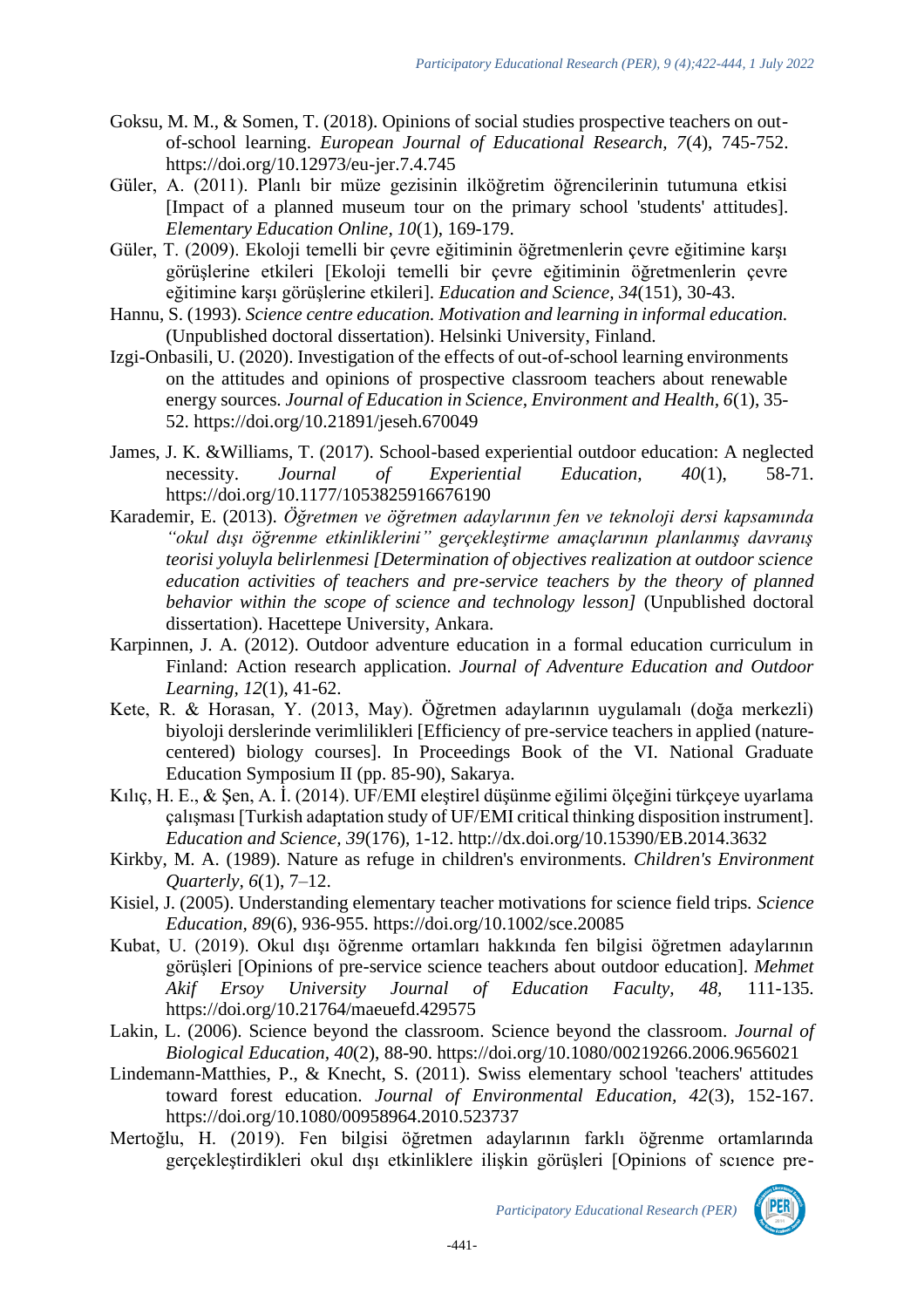- Goksu, M. M., & Somen, T. (2018). Opinions of social studies prospective teachers on outof-school learning. *European Journal of Educational Research, 7*(4), 745-752. https://doi.org/10.12973/eu-jer.7.4.745
- Güler, A. (2011). Planlı bir müze gezisinin ilköğretim öğrencilerinin tutumuna etkisi [Impact of a planned museum tour on the primary school 'students' attitudes]. *Elementary Education Online, 10*(1), 169-179.
- Güler, T. (2009). Ekoloji temelli bir çevre eğitiminin öğretmenlerin çevre eğitimine karşı görüşlerine etkileri [Ekoloji temelli bir çevre eğitiminin öğretmenlerin çevre eğitimine karşı görüşlerine etkileri]. *Education and Science, 34*(151), 30-43.
- Hannu, S. (1993). *Science centre education. Motivation and learning in informal education.* (Unpublished doctoral dissertation). Helsinki University, Finland.
- Izgi-Onbasili, U. (2020). Investigation of the effects of out-of-school learning environments on the attitudes and opinions of prospective classroom teachers about renewable energy sources. *Journal of Education in Science, Environment and Health, 6*(1), 35- 52. https://doi.org/10.21891/jeseh.670049
- James, J. K. &Williams, T. (2017). School-based experiential outdoor education: A neglected necessity. *Journal of Experiential Education, 40*(1), 58-71. https://doi.org/10.1177/1053825916676190
- Karademir, E. (2013). *Öğretmen ve öğretmen adaylarının fen ve teknoloji dersi kapsamında "okul dışı öğrenme etkinliklerini" gerçekleştirme amaçlarının planlanmış davranış teorisi yoluyla belirlenmesi [Determination of objectives realization at outdoor science education activities of teachers and pre-service teachers by the theory of planned behavior within the scope of science and technology lesson]* (Unpublished doctoral dissertation). Hacettepe University, Ankara.
- Karpinnen, J. A. (2012). Outdoor adventure education in a formal education curriculum in Finland: Action research application. *Journal of Adventure Education and Outdoor Learning, 12*(1), 41-62.
- Kete, R. & Horasan, Y. (2013, May). Öğretmen adaylarının uygulamalı (doğa merkezli) biyoloji derslerinde verimlilikleri [Efficiency of pre-service teachers in applied (naturecentered) biology courses]. In Proceedings Book of the VI. National Graduate Education Symposium II (pp. 85-90), Sakarya.
- Kılıç, H. E., & Şen, A. İ. (2014). UF/EMI eleştirel düşünme eğilimi ölçeğini türkçeye uyarlama çalışması [Turkish adaptation study of UF/EMI critical thinking disposition instrument]. *Education and Science, 39*(176), 1-12. http://dx.doi.org/10.15390/EB.2014.3632
- Kirkby, M. A. (1989). Nature as refuge in children's environments. *Children's Environment Quarterly, 6*(1), 7–12.
- Kisiel, J. (2005). Understanding elementary teacher motivations for science field trips. *Science Education, 89*(6), 936-955. https://doi.org/10.1002/sce.20085
- Kubat, U. (2019). Okul dışı öğrenme ortamları hakkında fen bilgisi öğretmen adaylarının görüşleri [Opinions of pre-service science teachers about outdoor education]. *Mehmet Akif Ersoy University Journal of Education Faculty, 48,* 111-135. https://doi.org/10.21764/maeuefd.429575
- Lakin, L. (2006). Science beyond the classroom. Science beyond the classroom. *Journal of Biological Education, 40*(2), 88-90. https://doi.org/10.1080/00219266.2006.9656021
- Lindemann-Matthies, P., & Knecht, S. (2011). Swiss elementary school 'teachers' attitudes toward forest education. *Journal of Environmental Education, 42*(3), 152-167. https://doi.org/10.1080/00958964.2010.523737
- Mertoğlu, H. (2019). Fen bilgisi öğretmen adaylarının farklı öğrenme ortamlarında gerçekleştirdikleri okul dışı etkinliklere ilişkin görüşleri [Opinions of scıence pre-

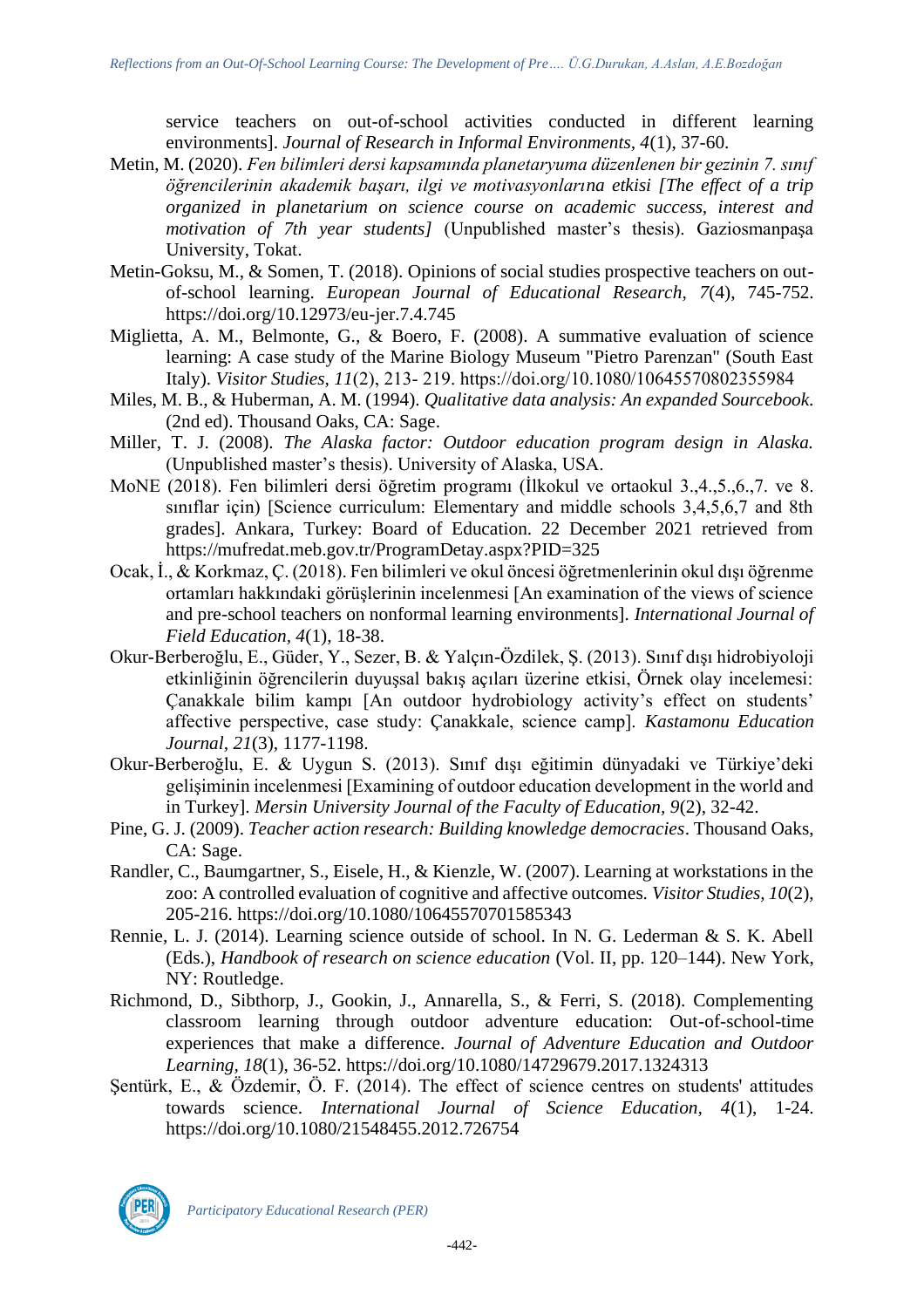service teachers on out-of-school activities conducted in different learning environments]. *Journal of Research in Informal Environments, 4*(1), 37-60.

- Metin, M. (2020). *Fen bilimleri dersi kapsamında planetaryuma düzenlenen bir gezinin 7. sınıf öğrencilerinin akademik başarı, ilgi ve motivasyonlarına etkisi [The effect of a trip organized in planetarium on science course on academic success, interest and motivation of 7th year students]* (Unpublished master's thesis). Gaziosmanpaşa University, Tokat.
- Metin-Goksu, M., & Somen, T. (2018). Opinions of social studies prospective teachers on outof-school learning. *European Journal of Educational Research, 7*(4), 745-752. https://doi.org/10.12973/eu-jer.7.4.745
- Miglietta, A. M., Belmonte, G., & Boero, F. (2008). A summative evaluation of science learning: A case study of the Marine Biology Museum "Pietro Parenzan" (South East Italy). *Visitor Studies, 11*(2), 213‐ 219. https://doi.org/10.1080/10645570802355984
- Miles, M. B., & Huberman, A. M. (1994). *Qualitative data analysis: An expanded Sourcebook.* (2nd ed). Thousand Oaks, CA: Sage.
- Miller, T. J. (2008). *The Alaska factor: Outdoor education program design in Alaska.* (Unpublished master's thesis). University of Alaska, USA.
- MoNE (2018). Fen bilimleri dersi öğretim programı (İlkokul ve ortaokul 3.,4.,5.,6.,7. ve 8. siniflar için) [Science curriculum: Elementary and middle schools 3,4,5,6,7 and 8th grades]. Ankara, Turkey: Board of Education. 22 December 2021 retrieved from https://mufredat.meb.gov.tr/ProgramDetay.aspx?PID=325
- Ocak, İ., & Korkmaz, Ç. (2018). Fen bilimleri ve okul öncesi öğretmenlerinin okul dışı öğrenme ortamları hakkındaki görüşlerinin incelenmesi [An examination of the views of science and pre-school teachers on nonformal learning environments]. *International Journal of Field Education, 4*(1), 18-38.
- Okur-Berberoğlu, E., Güder, Y., Sezer, B. & Yalçın-Özdilek, Ş. (2013). Sınıf dışı hidrobiyoloji etkinliğinin öğrencilerin duyuşsal bakış açıları üzerine etkisi, Örnek olay incelemesi: Çanakkale bilim kampı [An outdoor hydrobiology activity's effect on students' affective perspective, case study: Çanakkale, science camp]. *Kastamonu Education Journal, 21*(3), 1177-1198.
- Okur-Berberoğlu, E. & Uygun S. (2013). Sınıf dışı eğitimin dünyadaki ve Türkiye'deki gelişiminin incelenmesi [Examining of outdoor education development in the world and in Turkey]. *Mersin University Journal of the Faculty of Education, 9*(2), 32-42.
- Pine, G. J. (2009). *Teacher action research: Building knowledge democracies*. Thousand Oaks, CA: Sage.
- Randler, C., Baumgartner, S., Eisele, H., & Kienzle, W. (2007). Learning at workstations in the zoo: A controlled evaluation of cognitive and affective outcomes. *Visitor Studies, 10*(2), 205-216. https://doi.org/10.1080/10645570701585343
- Rennie, L. J. (2014). Learning science outside of school. In N. G. Lederman & S. K. Abell (Eds.), *Handbook of research on science education* (Vol. II, pp. 120–144). New York, NY: Routledge.
- Richmond, D., Sibthorp, J., Gookin, J., Annarella, S., & Ferri, S. (2018). Complementing classroom learning through outdoor adventure education: Out-of-school-time experiences that make a difference. *Journal of Adventure Education and Outdoor Learning, 18*(1), 36-52. https://doi.org/10.1080/14729679.2017.1324313
- Sentürk, E., & Özdemir, Ö. F. (2014). The effect of science centres on students' attitudes towards science. *International Journal of Science Education, 4*(1), 1-24. https://doi.org/10.1080/21548455.2012.726754

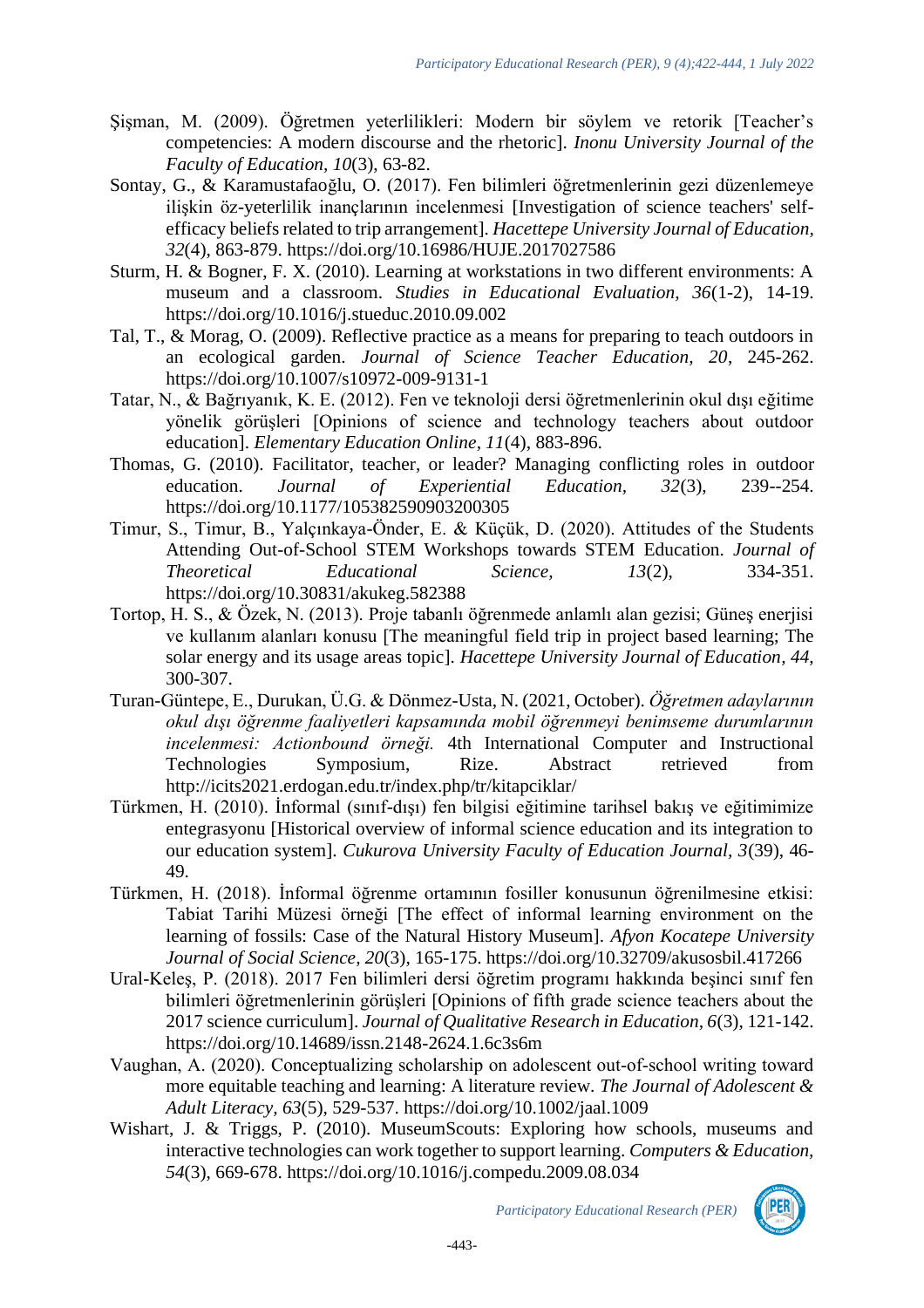- Şişman, M. (2009). Öğretmen yeterlilikleri: Modern bir söylem ve retorik [Teacher's competencies: A modern discourse and the rhetoric]. *Inonu University Journal of the Faculty of Education, 10*(3), 63-82.
- Sontay, G., & Karamustafaoğlu, O. (2017). Fen bilimleri öğretmenlerinin gezi düzenlemeye ilişkin öz-yeterlilik inançlarının incelenmesi [Investigation of science teachers' selfefficacy beliefs related to trip arrangement]. *Hacettepe University Journal of Education, 32*(4), 863-879. https://doi.org/10.16986/HUJE.2017027586
- Sturm, H. & Bogner, F. X. (2010). Learning at workstations in two different environments: A museum and a classroom. *Studies in Educational Evaluation, 36*(1-2), 14-19. https://doi.org/10.1016/j.stueduc.2010.09.002
- Tal, T., & Morag, O. (2009). Reflective practice as a means for preparing to teach outdoors in an ecological garden. *Journal of Science Teacher Education, 20*, 245-262. https://doi.org/10.1007/s10972-009-9131-1
- Tatar, N., & Bağrıyanık, K. E. (2012). Fen ve teknoloji dersi öğretmenlerinin okul dışı eğitime yönelik görüşleri [Opinions of science and technology teachers about outdoor education]. *Elementary Education Online, 11*(4), 883-896.
- Thomas, G. (2010). Facilitator, teacher, or leader? Managing conflicting roles in outdoor education. *Journal of Experiential Education, 32*(3), 239--254. https://doi.org/10.1177/105382590903200305
- Timur, S., Timur, B., Yalçınkaya-Önder, E. & Küçük, D. (2020). Attitudes of the Students Attending Out-of-School STEM Workshops towards STEM Education. *Journal of Theoretical Educational Science, 13*(2), 334-351. https://doi.org/10.30831/akukeg.582388
- Tortop, H. S., & Özek, N. (2013). Proje tabanlı öğrenmede anlamlı alan gezisi; Güneş enerjisi ve kullanım alanları konusu [The meaningful field trip in project based learning; The solar energy and its usage areas topic]. *Hacettepe University Journal of Education, 44*, 300-307.
- Turan-Güntepe, E., Durukan, Ü.G. & Dönmez-Usta, N. (2021, October). *Öğretmen adaylarının okul dışı öğrenme faaliyetleri kapsamında mobil öğrenmeyi benimseme durumlarının incelenmesi: Actionbound örneği.* 4th International Computer and Instructional Technologies Symposium, Rize. Abstract retrieved from http://icits2021.erdogan.edu.tr/index.php/tr/kitapciklar/
- Türkmen, H. (2010). İnformal (sınıf-dışı) fen bilgisi eğitimine tarihsel bakış ve eğitimimize entegrasyonu [Historical overview of informal science education and its integration to our education system]. *Cukurova University Faculty of Education Journal, 3*(39), 46- 49.
- Türkmen, H. (2018). İnformal öğrenme ortamının fosiller konusunun öğrenilmesine etkisi: Tabiat Tarihi Müzesi örneği [The effect of informal learning environment on the learning of fossils: Case of the Natural History Museum]. *Afyon Kocatepe University Journal of Social Science, 20*(3), 165-175. https://doi.org/10.32709/akusosbil.417266
- Ural-Keleş, P. (2018). 2017 Fen bilimleri dersi öğretim programı hakkında beşinci sınıf fen bilimleri öğretmenlerinin görüşleri [Opinions of fifth grade science teachers about the 2017 science curriculum]. *Journal of Qualitative Research in Education, 6*(3), 121-142. https://doi.org/10.14689/issn.2148-2624.1.6c3s6m
- Vaughan, A. (2020). Conceptualizing scholarship on adolescent out‐of‐school writing toward more equitable teaching and learning: A literature review. *The Journal of Adolescent & Adult Literacy, 63*(5), 529-537. https://doi.org/10.1002/jaal.1009
- Wishart, J. & Triggs, P. (2010). MuseumScouts: Exploring how schools, museums and interactive technologies can work together to support learning. *Computers & Education, 54*(3), 669-678. https://doi.org/10.1016/j.compedu.2009.08.034

-443-